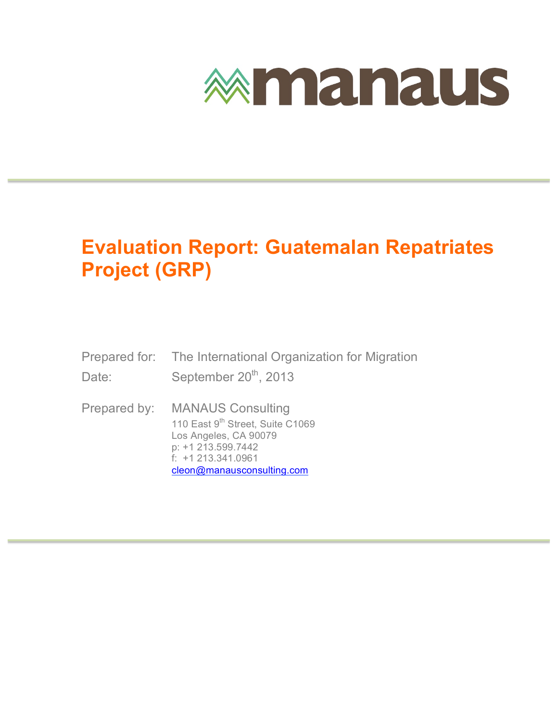

### **Evaluation Report: Guatemalan Repatriates Project (GRP)**

- Prepared for: The International Organization for Migration Date: September 20<sup>th</sup>, 2013
- Prepared by: MANAUS Consulting 110 East 9<sup>th</sup> Street, Suite C1069 Los Angeles, CA 90079 p: +1 213.599.7442 f: +1 213.341.0961 cleon@manausconsulting.com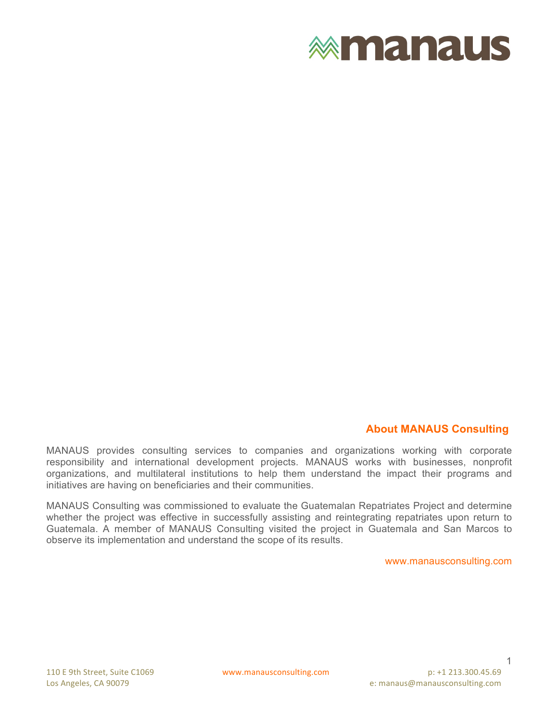

### **About MANAUS Consulting**

MANAUS provides consulting services to companies and organizations working with corporate responsibility and international development projects. MANAUS works with businesses, nonprofit organizations, and multilateral institutions to help them understand the impact their programs and initiatives are having on beneficiaries and their communities.

MANAUS Consulting was commissioned to evaluate the Guatemalan Repatriates Project and determine whether the project was effective in successfully assisting and reintegrating repatriates upon return to Guatemala. A member of MANAUS Consulting visited the project in Guatemala and San Marcos to observe its implementation and understand the scope of its results.

www.manausconsulting.com

1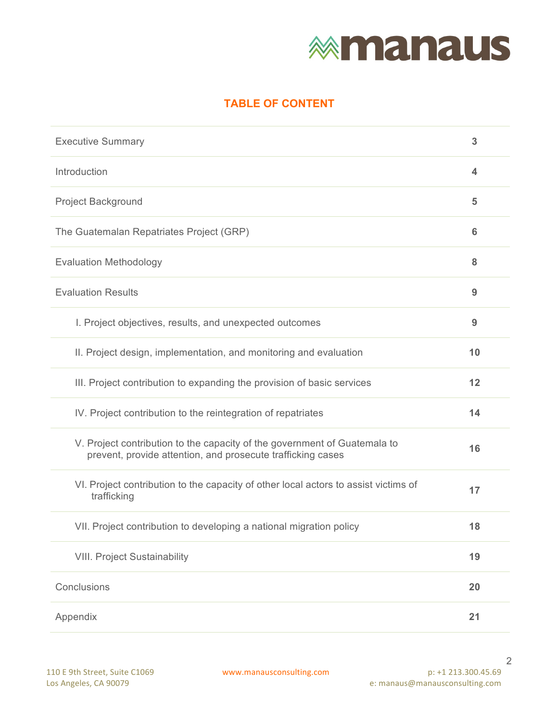# **<b>***<u>Mmanaus</u>*

### **TABLE OF CONTENT**

| <b>Executive Summary</b>                                                                                                                 | 3               |  |  |  |  |
|------------------------------------------------------------------------------------------------------------------------------------------|-----------------|--|--|--|--|
| Introduction                                                                                                                             |                 |  |  |  |  |
| <b>Project Background</b>                                                                                                                | 5               |  |  |  |  |
| The Guatemalan Repatriates Project (GRP)                                                                                                 | $6\phantom{1}6$ |  |  |  |  |
| <b>Evaluation Methodology</b>                                                                                                            | 8               |  |  |  |  |
| <b>Evaluation Results</b>                                                                                                                | 9               |  |  |  |  |
| I. Project objectives, results, and unexpected outcomes                                                                                  | 9               |  |  |  |  |
| II. Project design, implementation, and monitoring and evaluation                                                                        | 10              |  |  |  |  |
| III. Project contribution to expanding the provision of basic services                                                                   | 12              |  |  |  |  |
| IV. Project contribution to the reintegration of repatriates                                                                             | 14              |  |  |  |  |
| V. Project contribution to the capacity of the government of Guatemala to<br>prevent, provide attention, and prosecute trafficking cases | 16              |  |  |  |  |
| VI. Project contribution to the capacity of other local actors to assist victims of<br>trafficking                                       | 17              |  |  |  |  |
| VII. Project contribution to developing a national migration policy                                                                      | 18              |  |  |  |  |
| <b>VIII. Project Sustainability</b>                                                                                                      | 19              |  |  |  |  |
| Conclusions                                                                                                                              | 20              |  |  |  |  |
| Appendix                                                                                                                                 | 21              |  |  |  |  |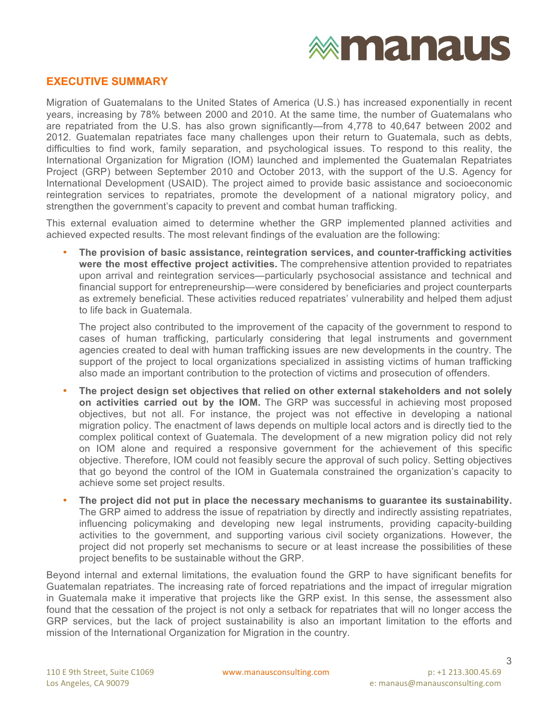#### **EXECUTIVE SUMMARY**

Migration of Guatemalans to the United States of America (U.S.) has increased exponentially in recent years, increasing by 78% between 2000 and 2010. At the same time, the number of Guatemalans who are repatriated from the U.S. has also grown significantly—from 4,778 to 40,647 between 2002 and 2012. Guatemalan repatriates face many challenges upon their return to Guatemala, such as debts, difficulties to find work, family separation, and psychological issues. To respond to this reality, the International Organization for Migration (IOM) launched and implemented the Guatemalan Repatriates Project (GRP) between September 2010 and October 2013, with the support of the U.S. Agency for International Development (USAID). The project aimed to provide basic assistance and socioeconomic reintegration services to repatriates, promote the development of a national migratory policy, and strengthen the government's capacity to prevent and combat human trafficking.

This external evaluation aimed to determine whether the GRP implemented planned activities and achieved expected results. The most relevant findings of the evaluation are the following:

• **The provision of basic assistance, reintegration services, and counter-trafficking activities were the most effective project activities.** The comprehensive attention provided to repatriates upon arrival and reintegration services—particularly psychosocial assistance and technical and financial support for entrepreneurship—were considered by beneficiaries and project counterparts as extremely beneficial. These activities reduced repatriates' vulnerability and helped them adjust to life back in Guatemala.

The project also contributed to the improvement of the capacity of the government to respond to cases of human trafficking, particularly considering that legal instruments and government agencies created to deal with human trafficking issues are new developments in the country. The support of the project to local organizations specialized in assisting victims of human trafficking also made an important contribution to the protection of victims and prosecution of offenders.

- **The project design set objectives that relied on other external stakeholders and not solely on activities carried out by the IOM.** The GRP was successful in achieving most proposed objectives, but not all. For instance, the project was not effective in developing a national migration policy. The enactment of laws depends on multiple local actors and is directly tied to the complex political context of Guatemala. The development of a new migration policy did not rely on IOM alone and required a responsive government for the achievement of this specific objective. Therefore, IOM could not feasibly secure the approval of such policy. Setting objectives that go beyond the control of the IOM in Guatemala constrained the organization's capacity to achieve some set project results.
- **The project did not put in place the necessary mechanisms to guarantee its sustainability.** The GRP aimed to address the issue of repatriation by directly and indirectly assisting repatriates, influencing policymaking and developing new legal instruments, providing capacity-building activities to the government, and supporting various civil society organizations. However, the project did not properly set mechanisms to secure or at least increase the possibilities of these project benefits to be sustainable without the GRP.

Beyond internal and external limitations, the evaluation found the GRP to have significant benefits for Guatemalan repatriates. The increasing rate of forced repatriations and the impact of irregular migration in Guatemala make it imperative that projects like the GRP exist. In this sense, the assessment also found that the cessation of the project is not only a setback for repatriates that will no longer access the GRP services, but the lack of project sustainability is also an important limitation to the efforts and mission of the International Organization for Migration in the country.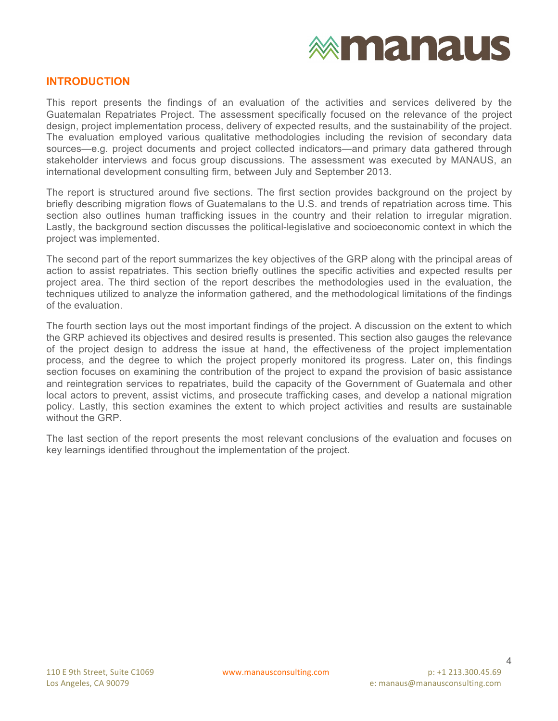

#### **INTRODUCTION**

This report presents the findings of an evaluation of the activities and services delivered by the Guatemalan Repatriates Project. The assessment specifically focused on the relevance of the project design, project implementation process, delivery of expected results, and the sustainability of the project. The evaluation employed various qualitative methodologies including the revision of secondary data sources—e.g. project documents and project collected indicators—and primary data gathered through stakeholder interviews and focus group discussions. The assessment was executed by MANAUS, an international development consulting firm, between July and September 2013.

The report is structured around five sections. The first section provides background on the project by briefly describing migration flows of Guatemalans to the U.S. and trends of repatriation across time. This section also outlines human trafficking issues in the country and their relation to irregular migration. Lastly, the background section discusses the political-legislative and socioeconomic context in which the project was implemented.

The second part of the report summarizes the key objectives of the GRP along with the principal areas of action to assist repatriates. This section briefly outlines the specific activities and expected results per project area. The third section of the report describes the methodologies used in the evaluation, the techniques utilized to analyze the information gathered, and the methodological limitations of the findings of the evaluation.

The fourth section lays out the most important findings of the project. A discussion on the extent to which the GRP achieved its objectives and desired results is presented. This section also gauges the relevance of the project design to address the issue at hand, the effectiveness of the project implementation process, and the degree to which the project properly monitored its progress. Later on, this findings section focuses on examining the contribution of the project to expand the provision of basic assistance and reintegration services to repatriates, build the capacity of the Government of Guatemala and other local actors to prevent, assist victims, and prosecute trafficking cases, and develop a national migration policy. Lastly, this section examines the extent to which project activities and results are sustainable without the GRP

The last section of the report presents the most relevant conclusions of the evaluation and focuses on key learnings identified throughout the implementation of the project.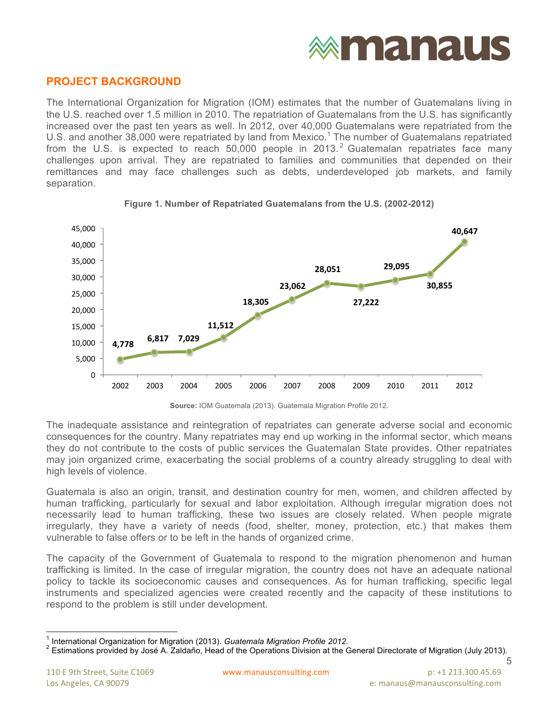## **exmanaus**

### **PROJECT BACKGROUND**

The International Organization for Migration (IOM) estimates that the number of Guatemalans living in the U.S. reached over 1.5 million in 2010. The repatriation of Guatemalans from the U.S. has significantly increased over the past ten years as well. In 2012, over 40,000 Guatemalans were repatriated from the U.S. and another 38,000 were repatriated by land from Mexico. <sup>1</sup> The number of Guatemalans repatriated from the U.S. is expected to reach 50,000 people in 2013.<sup>2</sup> Guatemalan repatriates face many challenges upon arrival. They are repatriated to families and communities that depended on their remittances and may face challenges such as debts, underdeveloped job markets, and family separation.





**Source:** IOM Guatemala (2013). Guatemala Migration Profile 2012.

The inadequate assistance and reintegration of repatriates can generate adverse social and economic consequences for the country. Many repatriates may end up working in the informal sector, which means they do not contribute to the costs of public services the Guatemalan State provides. Other repatriates may join organized crime, exacerbating the social problems of a country already struggling to deal with high levels of violence.

Guatemala is also an origin, transit, and destination country for men, women, and children affected by human trafficking, particularly for sexual and labor exploitation. Although irregular migration does not necessarily lead to human trafficking, these two issues are closely related. When people migrate irregularly, they have a variety of needs (food, shelter, money, protection, etc.) that makes them vulnerable to false offers or to be left in the hands of organized crime.

The capacity of the Government of Guatemala to respond to the migration phenomenon and human trafficking is limited. In the case of irregular migration, the country does not have an adequate national policy to tackle its socioeconomic causes and consequences. As for human trafficking, specific legal instruments and specialized agencies were created recently and the capacity of these institutions to respond to the problem is still under development.

5

<sup>&</sup>lt;sup>1</sup> International Organization for Migration (2013). *Guatemala Migration Profile 2012.*<br><sup>2</sup> Estimations provided by José A. Zaldaño, Head of the Operations Division at the General Directorate of Migration (July 2013).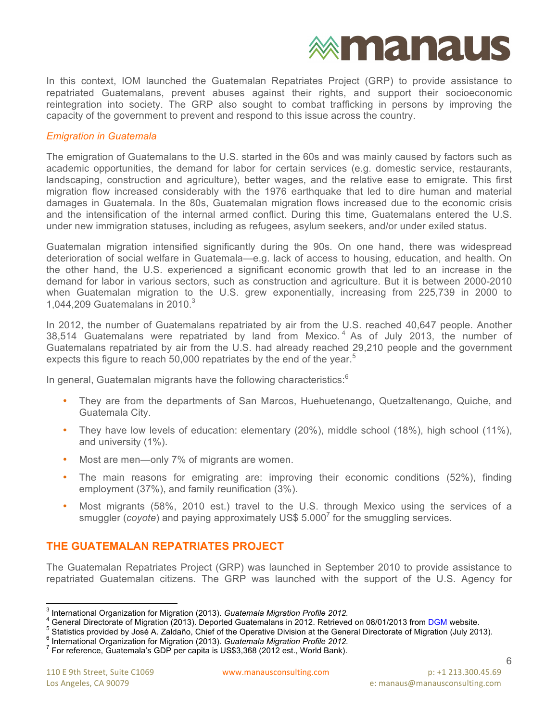

In this context, IOM launched the Guatemalan Repatriates Project (GRP) to provide assistance to repatriated Guatemalans, prevent abuses against their rights, and support their socioeconomic reintegration into society. The GRP also sought to combat trafficking in persons by improving the capacity of the government to prevent and respond to this issue across the country.

#### *Emigration in Guatemala*

The emigration of Guatemalans to the U.S. started in the 60s and was mainly caused by factors such as academic opportunities, the demand for labor for certain services (e.g. domestic service, restaurants, landscaping, construction and agriculture), better wages, and the relative ease to emigrate. This first migration flow increased considerably with the 1976 earthquake that led to dire human and material damages in Guatemala. In the 80s, Guatemalan migration flows increased due to the economic crisis and the intensification of the internal armed conflict. During this time, Guatemalans entered the U.S. under new immigration statuses, including as refugees, asylum seekers, and/or under exiled status.

Guatemalan migration intensified significantly during the 90s. On one hand, there was widespread deterioration of social welfare in Guatemala—e.g. lack of access to housing, education, and health. On the other hand, the U.S. experienced a significant economic growth that led to an increase in the demand for labor in various sectors, such as construction and agriculture. But it is between 2000-2010 when Guatemalan migration to the U.S. grew exponentially, increasing from 225,739 in 2000 to 1,044,209 Guatemalans in 2010. $3$ 

In 2012, the number of Guatemalans repatriated by air from the U.S. reached 40,647 people. Another 38,514 Guatemalans were repatriated by land from Mexico. <sup>4</sup> As of July 2013, the number of Guatemalans repatriated by air from the U.S. had already reached 29,210 people and the government expects this figure to reach 50,000 repatriates by the end of the year.<sup>5</sup>

In general, Guatemalan migrants have the following characteristics:<sup>6</sup>

- They are from the departments of San Marcos, Huehuetenango, Quetzaltenango, Quiche, and Guatemala City.
- They have low levels of education: elementary (20%), middle school (18%), high school (11%), and university (1%).
- Most are men—only 7% of migrants are women.
- The main reasons for emigrating are: improving their economic conditions (52%), finding employment (37%), and family reunification (3%).
- Most migrants (58%, 2010 est.) travel to the U.S. through Mexico using the services of a smuggler (*coyote*) and paying approximately US\$ 5.000<sup>7</sup> for the smuggling services.

### **THE GUATEMALAN REPATRIATES PROJECT**

The Guatemalan Repatriates Project (GRP) was launched in September 2010 to provide assistance to repatriated Guatemalan citizens. The GRP was launched with the support of the U.S. Agency for

<sup>&</sup>lt;sup>3</sup> International Organization for Migration (2013). *Guatemala Migration Profile 2012.*<br>
<sup>4</sup> General Directorate of Migration (2013). Deported Guatemalans in 2012. Retrieved on 08/01/2013 from DGM website.<br>
<sup>5</sup> Statistic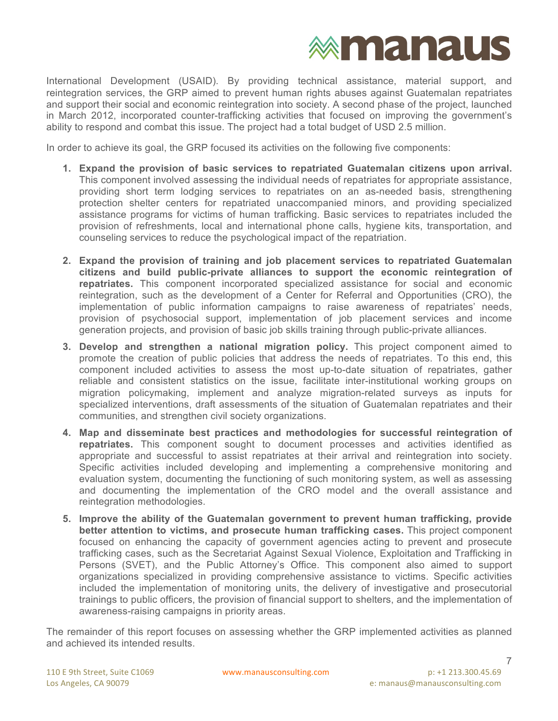

International Development (USAID). By providing technical assistance, material support, and reintegration services, the GRP aimed to prevent human rights abuses against Guatemalan repatriates and support their social and economic reintegration into society. A second phase of the project, launched in March 2012, incorporated counter-trafficking activities that focused on improving the government's ability to respond and combat this issue. The project had a total budget of USD 2.5 million.

In order to achieve its goal, the GRP focused its activities on the following five components:

- **1. Expand the provision of basic services to repatriated Guatemalan citizens upon arrival.** This component involved assessing the individual needs of repatriates for appropriate assistance, providing short term lodging services to repatriates on an as-needed basis, strengthening protection shelter centers for repatriated unaccompanied minors, and providing specialized assistance programs for victims of human trafficking. Basic services to repatriates included the provision of refreshments, local and international phone calls, hygiene kits, transportation, and counseling services to reduce the psychological impact of the repatriation.
- **2. Expand the provision of training and job placement services to repatriated Guatemalan citizens and build public-private alliances to support the economic reintegration of repatriates.** This component incorporated specialized assistance for social and economic reintegration, such as the development of a Center for Referral and Opportunities (CRO), the implementation of public information campaigns to raise awareness of repatriates' needs, provision of psychosocial support, implementation of job placement services and income generation projects, and provision of basic job skills training through public-private alliances.
- **3. Develop and strengthen a national migration policy.** This project component aimed to promote the creation of public policies that address the needs of repatriates. To this end, this component included activities to assess the most up-to-date situation of repatriates, gather reliable and consistent statistics on the issue, facilitate inter-institutional working groups on migration policymaking, implement and analyze migration-related surveys as inputs for specialized interventions, draft assessments of the situation of Guatemalan repatriates and their communities, and strengthen civil society organizations.
- **4. Map and disseminate best practices and methodologies for successful reintegration of repatriates.** This component sought to document processes and activities identified as appropriate and successful to assist repatriates at their arrival and reintegration into society. Specific activities included developing and implementing a comprehensive monitoring and evaluation system, documenting the functioning of such monitoring system, as well as assessing and documenting the implementation of the CRO model and the overall assistance and reintegration methodologies.
- **5. Improve the ability of the Guatemalan government to prevent human trafficking, provide better attention to victims, and prosecute human trafficking cases.** This project component focused on enhancing the capacity of government agencies acting to prevent and prosecute trafficking cases, such as the Secretariat Against Sexual Violence, Exploitation and Trafficking in Persons (SVET), and the Public Attorney's Office. This component also aimed to support organizations specialized in providing comprehensive assistance to victims. Specific activities included the implementation of monitoring units, the delivery of investigative and prosecutorial trainings to public officers, the provision of financial support to shelters, and the implementation of awareness-raising campaigns in priority areas.

The remainder of this report focuses on assessing whether the GRP implemented activities as planned and achieved its intended results.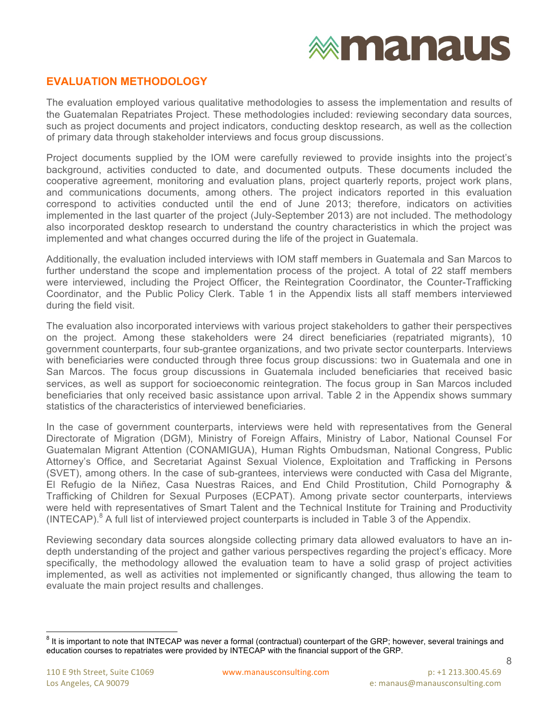### **EVALUATION METHODOLOGY**

The evaluation employed various qualitative methodologies to assess the implementation and results of the Guatemalan Repatriates Project. These methodologies included: reviewing secondary data sources, such as project documents and project indicators, conducting desktop research, as well as the collection of primary data through stakeholder interviews and focus group discussions.

Project documents supplied by the IOM were carefully reviewed to provide insights into the project's background, activities conducted to date, and documented outputs. These documents included the cooperative agreement, monitoring and evaluation plans, project quarterly reports, project work plans, and communications documents, among others. The project indicators reported in this evaluation correspond to activities conducted until the end of June 2013; therefore, indicators on activities implemented in the last quarter of the project (July-September 2013) are not included. The methodology also incorporated desktop research to understand the country characteristics in which the project was implemented and what changes occurred during the life of the project in Guatemala.

Additionally, the evaluation included interviews with IOM staff members in Guatemala and San Marcos to further understand the scope and implementation process of the project. A total of 22 staff members were interviewed, including the Project Officer, the Reintegration Coordinator, the Counter-Trafficking Coordinator, and the Public Policy Clerk. Table 1 in the Appendix lists all staff members interviewed during the field visit.

The evaluation also incorporated interviews with various project stakeholders to gather their perspectives on the project. Among these stakeholders were 24 direct beneficiaries (repatriated migrants), 10 government counterparts, four sub-grantee organizations, and two private sector counterparts. Interviews with beneficiaries were conducted through three focus group discussions: two in Guatemala and one in San Marcos. The focus group discussions in Guatemala included beneficiaries that received basic services, as well as support for socioeconomic reintegration. The focus group in San Marcos included beneficiaries that only received basic assistance upon arrival. Table 2 in the Appendix shows summary statistics of the characteristics of interviewed beneficiaries.

In the case of government counterparts, interviews were held with representatives from the General Directorate of Migration (DGM), Ministry of Foreign Affairs, Ministry of Labor, National Counsel For Guatemalan Migrant Attention (CONAMIGUA), Human Rights Ombudsman, National Congress, Public Attorney's Office, and Secretariat Against Sexual Violence, Exploitation and Trafficking in Persons (SVET), among others. In the case of sub-grantees, interviews were conducted with Casa del Migrante, El Refugio de la Niñez, Casa Nuestras Raices, and End Child Prostitution, Child Pornography & Trafficking of Children for Sexual Purposes (ECPAT). Among private sector counterparts, interviews were held with representatives of Smart Talent and the Technical Institute for Training and Productivity (INTECAP). <sup>8</sup> A full list of interviewed project counterparts is included in Table 3 of the Appendix.

Reviewing secondary data sources alongside collecting primary data allowed evaluators to have an indepth understanding of the project and gather various perspectives regarding the project's efficacy. More specifically, the methodology allowed the evaluation team to have a solid grasp of project activities implemented, as well as activities not implemented or significantly changed, thus allowing the team to evaluate the main project results and challenges.

 $8$  It is important to note that INTECAP was never a formal (contractual) counterpart of the GRP; however, several trainings and education courses to repatriates were provided by INTECAP with the financial support of the GRP.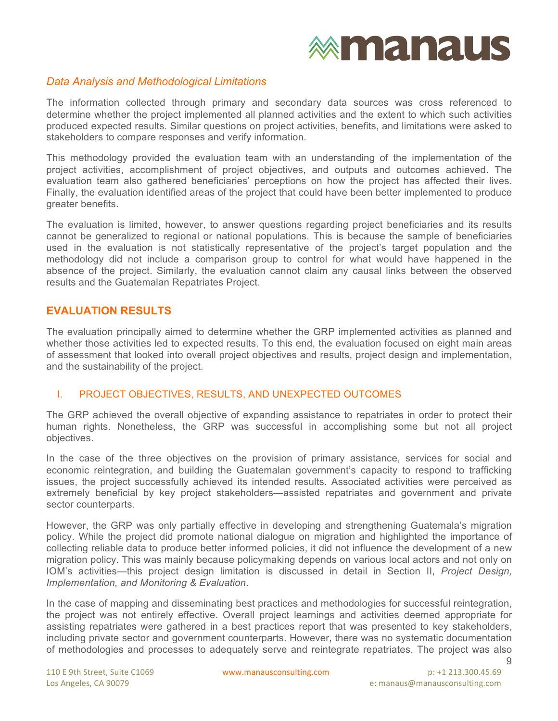#### *Data Analysis and Methodological Limitations*

The information collected through primary and secondary data sources was cross referenced to determine whether the project implemented all planned activities and the extent to which such activities produced expected results. Similar questions on project activities, benefits, and limitations were asked to stakeholders to compare responses and verify information.

This methodology provided the evaluation team with an understanding of the implementation of the project activities, accomplishment of project objectives, and outputs and outcomes achieved. The evaluation team also gathered beneficiaries' perceptions on how the project has affected their lives. Finally, the evaluation identified areas of the project that could have been better implemented to produce greater benefits.

The evaluation is limited, however, to answer questions regarding project beneficiaries and its results cannot be generalized to regional or national populations. This is because the sample of beneficiaries used in the evaluation is not statistically representative of the project's target population and the methodology did not include a comparison group to control for what would have happened in the absence of the project. Similarly, the evaluation cannot claim any causal links between the observed results and the Guatemalan Repatriates Project.

### **EVALUATION RESULTS**

The evaluation principally aimed to determine whether the GRP implemented activities as planned and whether those activities led to expected results. To this end, the evaluation focused on eight main areas of assessment that looked into overall project objectives and results, project design and implementation, and the sustainability of the project.

#### I. PROJECT OBJECTIVES, RESULTS, AND UNEXPECTED OUTCOMES

The GRP achieved the overall objective of expanding assistance to repatriates in order to protect their human rights. Nonetheless, the GRP was successful in accomplishing some but not all project objectives.

In the case of the three objectives on the provision of primary assistance, services for social and economic reintegration, and building the Guatemalan government's capacity to respond to trafficking issues, the project successfully achieved its intended results. Associated activities were perceived as extremely beneficial by key project stakeholders—assisted repatriates and government and private sector counterparts.

However, the GRP was only partially effective in developing and strengthening Guatemala's migration policy. While the project did promote national dialogue on migration and highlighted the importance of collecting reliable data to produce better informed policies, it did not influence the development of a new migration policy. This was mainly because policymaking depends on various local actors and not only on IOM's activities—this project design limitation is discussed in detail in Section II, *Project Design, Implementation, and Monitoring & Evaluation*.

9 In the case of mapping and disseminating best practices and methodologies for successful reintegration, the project was not entirely effective. Overall project learnings and activities deemed appropriate for assisting repatriates were gathered in a best practices report that was presented to key stakeholders, including private sector and government counterparts. However, there was no systematic documentation of methodologies and processes to adequately serve and reintegrate repatriates. The project was also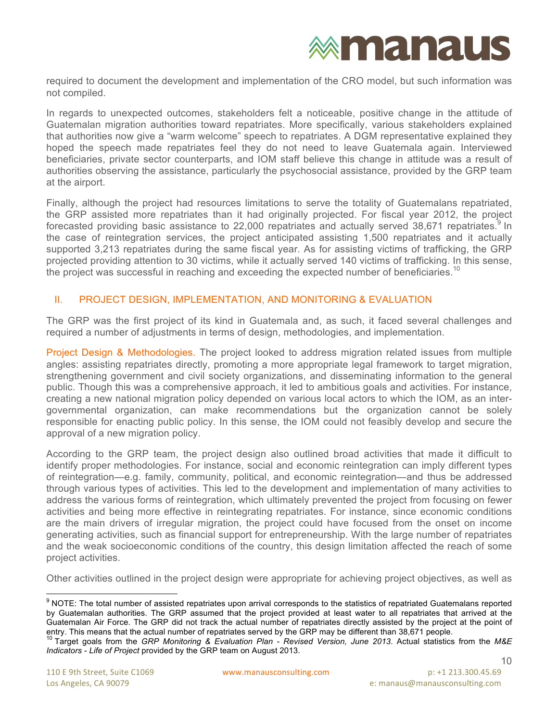### **exmanaus**

required to document the development and implementation of the CRO model, but such information was not compiled.

In regards to unexpected outcomes, stakeholders felt a noticeable, positive change in the attitude of Guatemalan migration authorities toward repatriates. More specifically, various stakeholders explained that authorities now give a "warm welcome" speech to repatriates. A DGM representative explained they hoped the speech made repatriates feel they do not need to leave Guatemala again. Interviewed beneficiaries, private sector counterparts, and IOM staff believe this change in attitude was a result of authorities observing the assistance, particularly the psychosocial assistance, provided by the GRP team at the airport.

Finally, although the project had resources limitations to serve the totality of Guatemalans repatriated, the GRP assisted more repatriates than it had originally projected. For fiscal year 2012, the project forecasted providing basic assistance to 22,000 repatriates and actually served 38,671 repatriates.<sup>9</sup> In the case of reintegration services, the project anticipated assisting 1,500 repatriates and it actually supported 3,213 repatriates during the same fiscal year. As for assisting victims of trafficking, the GRP projected providing attention to 30 victims, while it actually served 140 victims of trafficking. In this sense, the project was successful in reaching and exceeding the expected number of beneficiaries.<sup>10</sup>

#### II. PROJECT DESIGN, IMPLEMENTATION, AND MONITORING & EVALUATION

The GRP was the first project of its kind in Guatemala and, as such, it faced several challenges and required a number of adjustments in terms of design, methodologies, and implementation.

Project Design & Methodologies. The project looked to address migration related issues from multiple angles: assisting repatriates directly, promoting a more appropriate legal framework to target migration, strengthening government and civil society organizations, and disseminating information to the general public. Though this was a comprehensive approach, it led to ambitious goals and activities. For instance, creating a new national migration policy depended on various local actors to which the IOM, as an intergovernmental organization, can make recommendations but the organization cannot be solely responsible for enacting public policy. In this sense, the IOM could not feasibly develop and secure the approval of a new migration policy.

According to the GRP team, the project design also outlined broad activities that made it difficult to identify proper methodologies. For instance, social and economic reintegration can imply different types of reintegration—e.g. family, community, political, and economic reintegration—and thus be addressed through various types of activities. This led to the development and implementation of many activities to address the various forms of reintegration, which ultimately prevented the project from focusing on fewer activities and being more effective in reintegrating repatriates. For instance, since economic conditions are the main drivers of irregular migration, the project could have focused from the onset on income generating activities, such as financial support for entrepreneurship. With the large number of repatriates and the weak socioeconomic conditions of the country, this design limitation affected the reach of some project activities.

Other activities outlined in the project design were appropriate for achieving project objectives, as well as

<sup>&</sup>lt;sup>9</sup> NOTE: The total number of assisted repatriates upon arrival corresponds to the statistics of repatriated Guatemalans reported by Guatemalan authorities. The GRP assumed that the project provided at least water to all repatriates that arrived at the Guatemalan Air Force. The GRP did not track the actual number of repatriates directly assisted by the project at the point of entry. This means that the actual number of repatriates served by the GRP may be different than 38,671 people.

<sup>10</sup> Target goals from the *GRP Monitoring & Evaluation Plan - Revised Version, June 2013*. Actual statistics from the *M&E Indicators - Life of Project* provided by the GRP team on August 2013.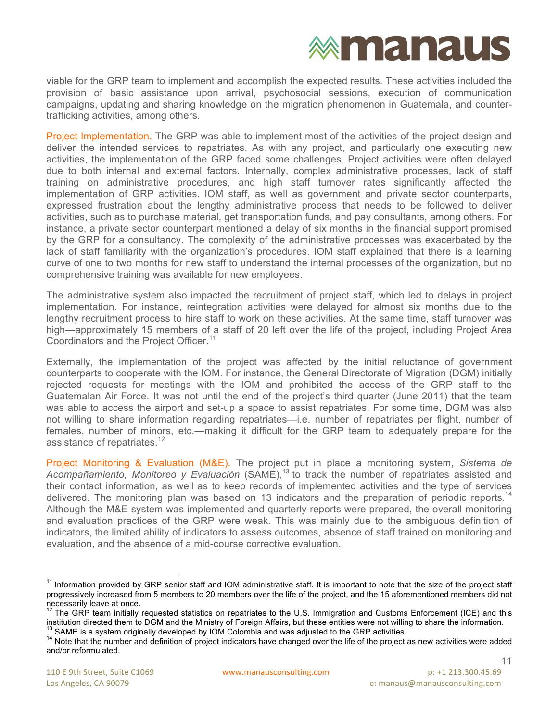viable for the GRP team to implement and accomplish the expected results. These activities included the provision of basic assistance upon arrival, psychosocial sessions, execution of communication campaigns, updating and sharing knowledge on the migration phenomenon in Guatemala, and countertrafficking activities, among others.

Project Implementation. The GRP was able to implement most of the activities of the project design and deliver the intended services to repatriates. As with any project, and particularly one executing new activities, the implementation of the GRP faced some challenges. Project activities were often delayed due to both internal and external factors. Internally, complex administrative processes, lack of staff training on administrative procedures, and high staff turnover rates significantly affected the implementation of GRP activities. IOM staff, as well as government and private sector counterparts, expressed frustration about the lengthy administrative process that needs to be followed to deliver activities, such as to purchase material, get transportation funds, and pay consultants, among others. For instance, a private sector counterpart mentioned a delay of six months in the financial support promised by the GRP for a consultancy. The complexity of the administrative processes was exacerbated by the lack of staff familiarity with the organization's procedures. IOM staff explained that there is a learning curve of one to two months for new staff to understand the internal processes of the organization, but no comprehensive training was available for new employees.

The administrative system also impacted the recruitment of project staff, which led to delays in project implementation. For instance, reintegration activities were delayed for almost six months due to the lengthy recruitment process to hire staff to work on these activities. At the same time, staff turnover was high—approximately 15 members of a staff of 20 left over the life of the project, including Project Area Coordinators and the Project Officer.<sup>11</sup>

Externally, the implementation of the project was affected by the initial reluctance of government counterparts to cooperate with the IOM. For instance, the General Directorate of Migration (DGM) initially rejected requests for meetings with the IOM and prohibited the access of the GRP staff to the Guatemalan Air Force. It was not until the end of the project's third quarter (June 2011) that the team was able to access the airport and set-up a space to assist repatriates. For some time, DGM was also not willing to share information regarding repatriates—i.e. number of repatriates per flight, number of females, number of minors, etc.—making it difficult for the GRP team to adequately prepare for the assistance of repatriates.<sup>12</sup>

Project Monitoring & Evaluation (M&E). The project put in place a monitoring system, *Sistema de*  Acompañamiento, Monitoreo y Evaluación (SAME),<sup>13</sup> to track the number of repatriates assisted and their contact information, as well as to keep records of implemented activities and the type of services delivered. The monitoring plan was based on 13 indicators and the preparation of periodic reports.<sup>14</sup> Although the M&E system was implemented and quarterly reports were prepared, the overall monitoring and evaluation practices of the GRP were weak. This was mainly due to the ambiguous definition of indicators, the limited ability of indicators to assess outcomes, absence of staff trained on monitoring and evaluation, and the absence of a mid-course corrective evaluation.

<sup>&</sup>lt;sup>11</sup> Information provided by GRP senior staff and IOM administrative staff. It is important to note that the size of the project staff progressively increased from 5 members to 20 members over the life of the project, and the 15 aforementioned members did not necessarily leave at once.

 $^{12}$  The GRP team initially requested statistics on repatriates to the U.S. Immigration and Customs Enforcement (ICE) and this<br>institution directed them to DGM and the Ministry of Foreign Affairs. but these entities wer

 $^{13}$  SAME is a system originally developed by IOM Colombia and was adjusted to the GRP activities.<br><sup>14</sup> Note that the number and definition of project indicators have changed over the life of the project as new activiti and/or reformulated.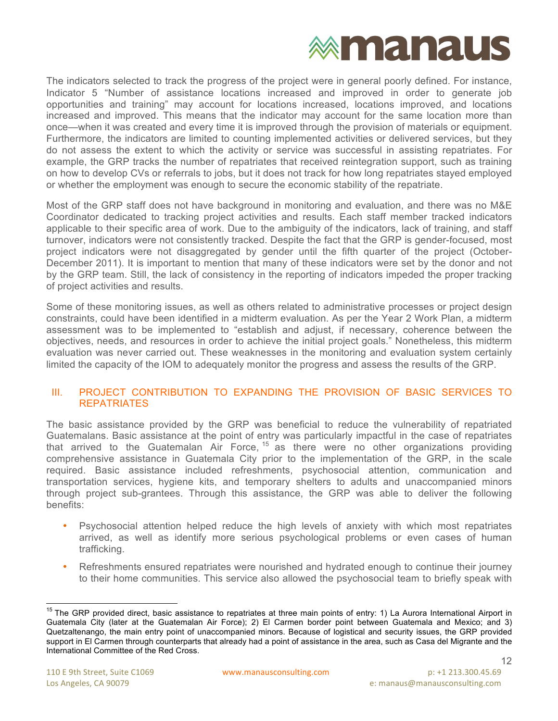

The indicators selected to track the progress of the project were in general poorly defined. For instance, Indicator 5 "Number of assistance locations increased and improved in order to generate job opportunities and training" may account for locations increased, locations improved, and locations increased and improved. This means that the indicator may account for the same location more than once—when it was created and every time it is improved through the provision of materials or equipment. Furthermore, the indicators are limited to counting implemented activities or delivered services, but they do not assess the extent to which the activity or service was successful in assisting repatriates. For example, the GRP tracks the number of repatriates that received reintegration support, such as training on how to develop CVs or referrals to jobs, but it does not track for how long repatriates stayed employed or whether the employment was enough to secure the economic stability of the repatriate.

Most of the GRP staff does not have background in monitoring and evaluation, and there was no M&E Coordinator dedicated to tracking project activities and results. Each staff member tracked indicators applicable to their specific area of work. Due to the ambiguity of the indicators, lack of training, and staff turnover, indicators were not consistently tracked. Despite the fact that the GRP is gender-focused, most project indicators were not disaggregated by gender until the fifth quarter of the project (October-December 2011). It is important to mention that many of these indicators were set by the donor and not by the GRP team. Still, the lack of consistency in the reporting of indicators impeded the proper tracking of project activities and results.

Some of these monitoring issues, as well as others related to administrative processes or project design constraints, could have been identified in a midterm evaluation. As per the Year 2 Work Plan, a midterm assessment was to be implemented to "establish and adjust, if necessary, coherence between the objectives, needs, and resources in order to achieve the initial project goals." Nonetheless, this midterm evaluation was never carried out. These weaknesses in the monitoring and evaluation system certainly limited the capacity of the IOM to adequately monitor the progress and assess the results of the GRP.

#### III. PROJECT CONTRIBUTION TO EXPANDING THE PROVISION OF BASIC SERVICES TO **REPATRIATES**

The basic assistance provided by the GRP was beneficial to reduce the vulnerability of repatriated Guatemalans. Basic assistance at the point of entry was particularly impactful in the case of repatriates that arrived to the Guatemalan Air Force,  $15$  as there were no other organizations providing comprehensive assistance in Guatemala City prior to the implementation of the GRP, in the scale required. Basic assistance included refreshments, psychosocial attention, communication and transportation services, hygiene kits, and temporary shelters to adults and unaccompanied minors through project sub-grantees. Through this assistance, the GRP was able to deliver the following benefits:

- Psychosocial attention helped reduce the high levels of anxiety with which most repatriates arrived, as well as identify more serious psychological problems or even cases of human trafficking.
- Refreshments ensured repatriates were nourished and hydrated enough to continue their journey to their home communities. This service also allowed the psychosocial team to briefly speak with

<sup>&</sup>lt;sup>15</sup> The GRP provided direct, basic assistance to repatriates at three main points of entry: 1) La Aurora International Airport in Guatemala City (later at the Guatemalan Air Force); 2) El Carmen border point between Guatemala and Mexico; and 3) Quetzaltenango, the main entry point of unaccompanied minors. Because of logistical and security issues, the GRP provided support in El Carmen through counterparts that already had a point of assistance in the area, such as Casa del Migrante and the International Committee of the Red Cross.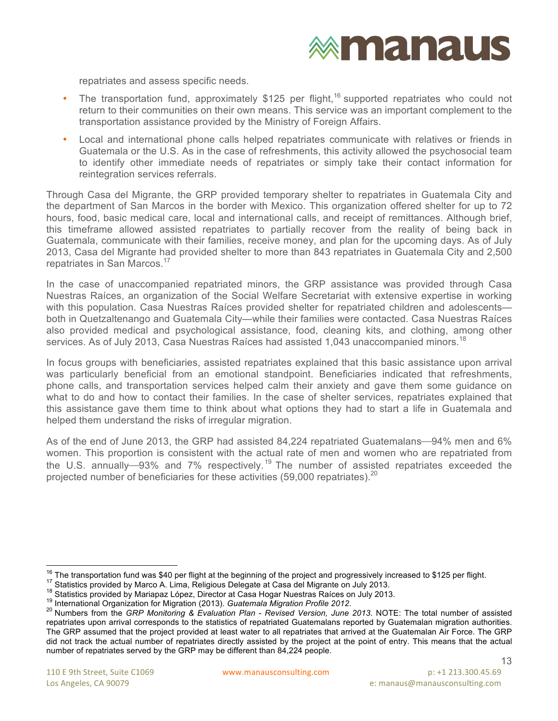### **exmanaus**

repatriates and assess specific needs.

- The transportation fund, approximately \$125 per flight,<sup>16</sup> supported repatriates who could not return to their communities on their own means. This service was an important complement to the transportation assistance provided by the Ministry of Foreign Affairs.
- Local and international phone calls helped repatriates communicate with relatives or friends in Guatemala or the U.S. As in the case of refreshments, this activity allowed the psychosocial team to identify other immediate needs of repatriates or simply take their contact information for reintegration services referrals.

Through Casa del Migrante, the GRP provided temporary shelter to repatriates in Guatemala City and the department of San Marcos in the border with Mexico. This organization offered shelter for up to 72 hours, food, basic medical care, local and international calls, and receipt of remittances. Although brief, this timeframe allowed assisted repatriates to partially recover from the reality of being back in Guatemala, communicate with their families, receive money, and plan for the upcoming days. As of July 2013, Casa del Migrante had provided shelter to more than 843 repatriates in Guatemala City and 2,500 repatriates in San Marcos.<sup>17</sup>

In the case of unaccompanied repatriated minors, the GRP assistance was provided through Casa Nuestras Raíces, an organization of the Social Welfare Secretariat with extensive expertise in working with this population. Casa Nuestras Raíces provided shelter for repatriated children and adolescents both in Quetzaltenango and Guatemala City—while their families were contacted. Casa Nuestras Raíces also provided medical and psychological assistance, food, cleaning kits, and clothing, among other services. As of July 2013, Casa Nuestras Raíces had assisted 1,043 unaccompanied minors.<sup>18</sup>

In focus groups with beneficiaries, assisted repatriates explained that this basic assistance upon arrival was particularly beneficial from an emotional standpoint. Beneficiaries indicated that refreshments, phone calls, and transportation services helped calm their anxiety and gave them some guidance on what to do and how to contact their families. In the case of shelter services, repatriates explained that this assistance gave them time to think about what options they had to start a life in Guatemala and helped them understand the risks of irregular migration.

As of the end of June 2013, the GRP had assisted 84,224 repatriated Guatemalans—94% men and 6% women. This proportion is consistent with the actual rate of men and women who are repatriated from the U.S. annually-93% and 7% respectively.<sup>19</sup> The number of assisted repatriates exceeded the projected number of beneficiaries for these activities (59,000 repatriates).<sup>20</sup>

<sup>&</sup>lt;sup>16</sup> The transportation fund was \$40 per flight at the beginning of the project and progressively increased to \$125 per flight.<br><sup>17</sup> Statistics provided by Marco A. Lima, Religious Delegate at Casa del Migrante on July 20

repatriates upon arrival corresponds to the statistics of repatriated Guatemalans reported by Guatemalan migration authorities. The GRP assumed that the project provided at least water to all repatriates that arrived at the Guatemalan Air Force. The GRP did not track the actual number of repatriates directly assisted by the project at the point of entry. This means that the actual number of repatriates served by the GRP may be different than 84,224 people.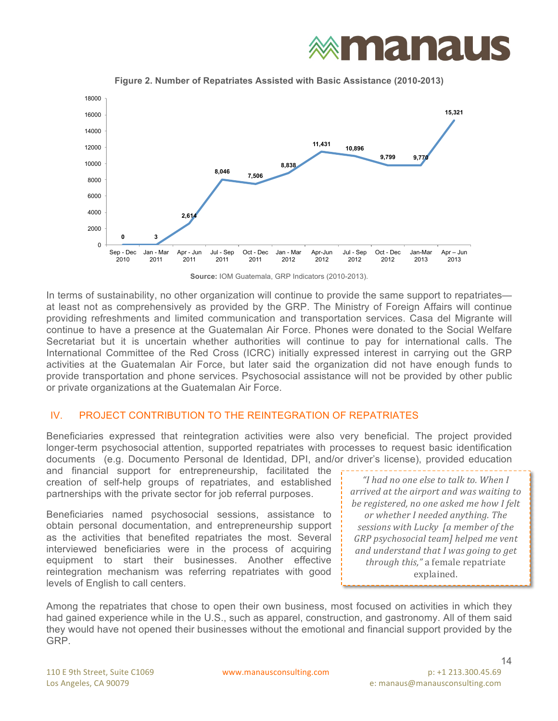## **exmanaus**



**Figure 2. Number of Repatriates Assisted with Basic Assistance (2010-2013)**

In terms of sustainability, no other organization will continue to provide the same support to repatriates at least not as comprehensively as provided by the GRP. The Ministry of Foreign Affairs will continue providing refreshments and limited communication and transportation services. Casa del Migrante will continue to have a presence at the Guatemalan Air Force. Phones were donated to the Social Welfare Secretariat but it is uncertain whether authorities will continue to pay for international calls. The International Committee of the Red Cross (ICRC) initially expressed interest in carrying out the GRP activities at the Guatemalan Air Force, but later said the organization did not have enough funds to provide transportation and phone services. Psychosocial assistance will not be provided by other public or private organizations at the Guatemalan Air Force.

### IV. PROJECT CONTRIBUTION TO THE REINTEGRATION OF REPATRIATES

Beneficiaries expressed that reintegration activities were also very beneficial. The project provided longer-term psychosocial attention, supported repatriates with processes to request basic identification documents (e.g. Documento Personal de Identidad, DPI, and/or driver's license), provided education

and financial support for entrepreneurship, facilitated the creation of self-help groups of repatriates, and established partnerships with the private sector for job referral purposes.

Beneficiaries named psychosocial sessions, assistance to obtain personal documentation, and entrepreneurship support as the activities that benefited repatriates the most. Several interviewed beneficiaries were in the process of acquiring equipment to start their businesses. Another effective reintegration mechanism was referring repatriates with good levels of English to call centers.

*"I had no one else to talk to. When I arrived at the airport and was waiting to be registered, no one asked me how I felt or* whether I needed anything. The *sessions with Lucky [a member of the GRP* psychosocial team] helped me vent and understand that I was going to get *through this,"* a female repatriate explained.

Among the repatriates that chose to open their own business, most focused on activities in which they had gained experience while in the U.S., such as apparel, construction, and gastronomy. All of them said they would have not opened their businesses without the emotional and financial support provided by the GRP.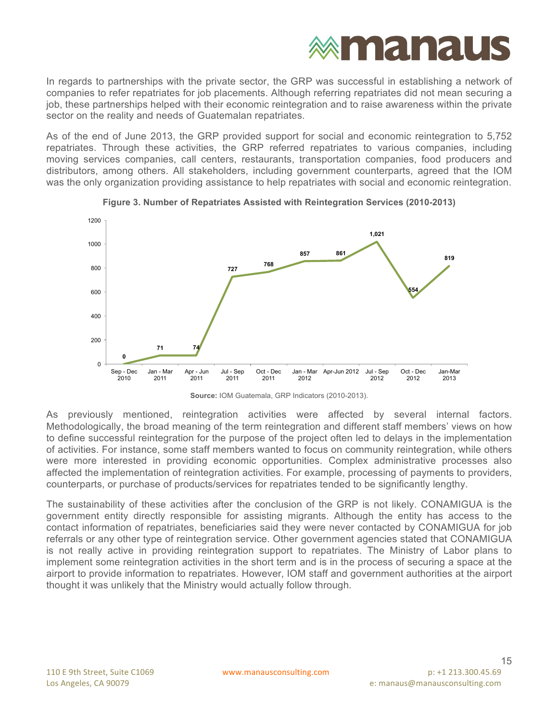In regards to partnerships with the private sector, the GRP was successful in establishing a network of companies to refer repatriates for job placements. Although referring repatriates did not mean securing a job, these partnerships helped with their economic reintegration and to raise awareness within the private sector on the reality and needs of Guatemalan repatriates.

As of the end of June 2013, the GRP provided support for social and economic reintegration to 5,752 repatriates. Through these activities, the GRP referred repatriates to various companies, including moving services companies, call centers, restaurants, transportation companies, food producers and distributors, among others. All stakeholders, including government counterparts, agreed that the IOM was the only organization providing assistance to help repatriates with social and economic reintegration.





**Source:** IOM Guatemala, GRP Indicators (2010-2013).

As previously mentioned, reintegration activities were affected by several internal factors. Methodologically, the broad meaning of the term reintegration and different staff members' views on how to define successful reintegration for the purpose of the project often led to delays in the implementation of activities. For instance, some staff members wanted to focus on community reintegration, while others were more interested in providing economic opportunities. Complex administrative processes also affected the implementation of reintegration activities. For example, processing of payments to providers, counterparts, or purchase of products/services for repatriates tended to be significantly lengthy.

The sustainability of these activities after the conclusion of the GRP is not likely. CONAMIGUA is the government entity directly responsible for assisting migrants. Although the entity has access to the contact information of repatriates, beneficiaries said they were never contacted by CONAMIGUA for job referrals or any other type of reintegration service. Other government agencies stated that CONAMIGUA is not really active in providing reintegration support to repatriates. The Ministry of Labor plans to implement some reintegration activities in the short term and is in the process of securing a space at the airport to provide information to repatriates. However, IOM staff and government authorities at the airport thought it was unlikely that the Ministry would actually follow through.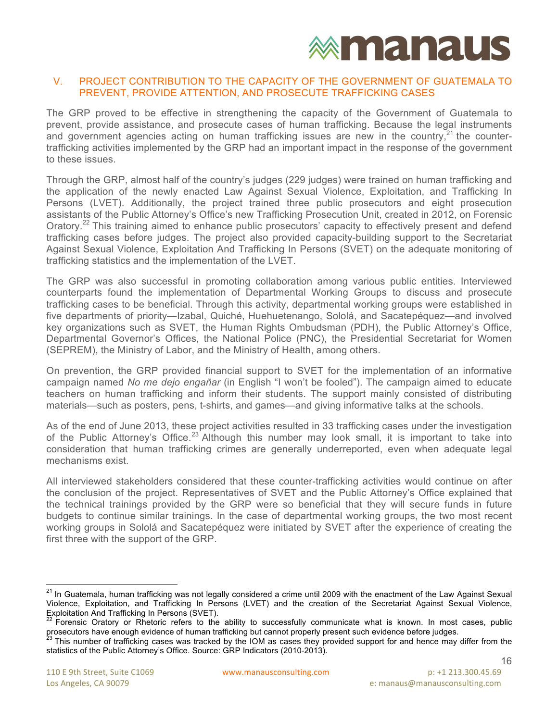#### V. PROJECT CONTRIBUTION TO THE CAPACITY OF THE GOVERNMENT OF GUATEMALA TO PREVENT, PROVIDE ATTENTION, AND PROSECUTE TRAFFICKING CASES

The GRP proved to be effective in strengthening the capacity of the Government of Guatemala to prevent, provide assistance, and prosecute cases of human trafficking. Because the legal instruments and government agencies acting on human trafficking issues are new in the country,  $21$  the countertrafficking activities implemented by the GRP had an important impact in the response of the government to these issues.

Through the GRP, almost half of the country's judges (229 judges) were trained on human trafficking and the application of the newly enacted Law Against Sexual Violence, Exploitation, and Trafficking In Persons (LVET). Additionally, the project trained three public prosecutors and eight prosecution assistants of the Public Attorney's Office's new Trafficking Prosecution Unit, created in 2012, on Forensic Oratory.<sup>22</sup> This training aimed to enhance public prosecutors' capacity to effectively present and defend trafficking cases before judges. The project also provided capacity-building support to the Secretariat Against Sexual Violence, Exploitation And Trafficking In Persons (SVET) on the adequate monitoring of trafficking statistics and the implementation of the LVET.

The GRP was also successful in promoting collaboration among various public entities. Interviewed counterparts found the implementation of Departmental Working Groups to discuss and prosecute trafficking cases to be beneficial. Through this activity, departmental working groups were established in five departments of priority—Izabal, Quiché, Huehuetenango, Sololá, and Sacatepéquez—and involved key organizations such as SVET, the Human Rights Ombudsman (PDH), the Public Attorney's Office, Departmental Governor's Offices, the National Police (PNC), the Presidential Secretariat for Women (SEPREM), the Ministry of Labor, and the Ministry of Health, among others.

On prevention, the GRP provided financial support to SVET for the implementation of an informative campaign named *No me dejo engañar* (in English "I won't be fooled"). The campaign aimed to educate teachers on human trafficking and inform their students. The support mainly consisted of distributing materials—such as posters, pens, t-shirts, and games—and giving informative talks at the schools.

As of the end of June 2013, these project activities resulted in 33 trafficking cases under the investigation of the Public Attorney's Office.<sup>23</sup> Although this number may look small, it is important to take into consideration that human trafficking crimes are generally underreported, even when adequate legal mechanisms exist.

All interviewed stakeholders considered that these counter-trafficking activities would continue on after the conclusion of the project. Representatives of SVET and the Public Attorney's Office explained that the technical trainings provided by the GRP were so beneficial that they will secure funds in future budgets to continue similar trainings. In the case of departmental working groups, the two most recent working groups in Sololá and Sacatepéquez were initiated by SVET after the experience of creating the first three with the support of the GRP.

In Guatemala, human trafficking was not legally considered a crime until 2009 with the enactment of the Law Against Sexual Violence, Exploitation, and Trafficking In Persons (LVET) and the creation of the Secretariat Against Sexual Violence, Exploitation And Trafficking In Persons (SVET).

<sup>22</sup> Forensic Oratory or Rhetoric refers to the ability to successfully communicate what is known. In most cases, public prosecutors have enough evidence of human trafficking but cannot properly present such evidence before judges.<br><sup>23</sup> This number of trafficking cases was tracked by the IOM as cases they provided support for and hence may d

statistics of the Public Attorney's Office. Source: GRP Indicators (2010-2013).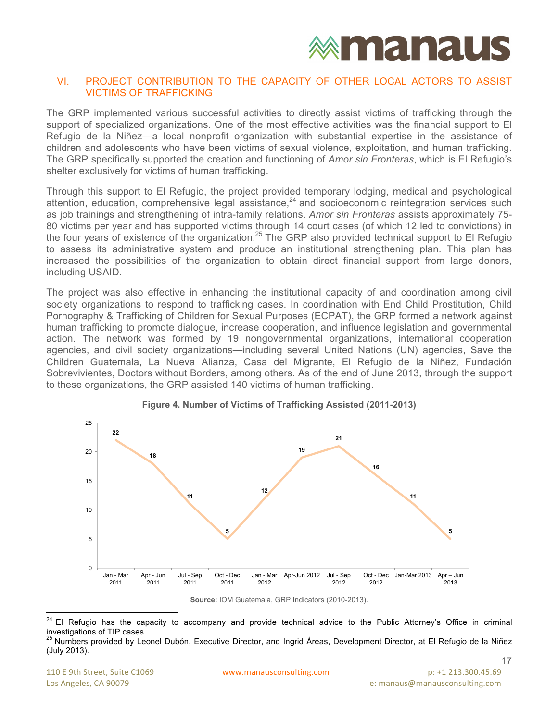

#### VI. PROJECT CONTRIBUTION TO THE CAPACITY OF OTHER LOCAL ACTORS TO ASSIST VICTIMS OF TRAFFICKING

The GRP implemented various successful activities to directly assist victims of trafficking through the support of specialized organizations. One of the most effective activities was the financial support to El Refugio de la Niñez—a local nonprofit organization with substantial expertise in the assistance of children and adolescents who have been victims of sexual violence, exploitation, and human trafficking. The GRP specifically supported the creation and functioning of *Amor sin Fronteras*, which is El Refugio's shelter exclusively for victims of human trafficking.

Through this support to El Refugio, the project provided temporary lodging, medical and psychological attention, education, comprehensive legal assistance, $^{24}$  and socioeconomic reintegration services such as job trainings and strengthening of intra-family relations. *Amor sin Fronteras* assists approximately 75- 80 victims per year and has supported victims through 14 court cases (of which 12 led to convictions) in the four years of existence of the organization.<sup>25</sup> The GRP also provided technical support to El Refugio to assess its administrative system and produce an institutional strengthening plan. This plan has increased the possibilities of the organization to obtain direct financial support from large donors, including USAID.

The project was also effective in enhancing the institutional capacity of and coordination among civil society organizations to respond to trafficking cases. In coordination with End Child Prostitution, Child Pornography & Trafficking of Children for Sexual Purposes (ECPAT), the GRP formed a network against human trafficking to promote dialogue, increase cooperation, and influence legislation and governmental action. The network was formed by 19 nongovernmental organizations, international cooperation agencies, and civil society organizations—including several United Nations (UN) agencies, Save the Children Guatemala, La Nueva Alianza, Casa del Migrante, El Refugio de la Niñez, Fundación Sobrevivientes, Doctors without Borders, among others. As of the end of June 2013, through the support to these organizations, the GRP assisted 140 victims of human trafficking.





**Source:** IOM Guatemala, GRP Indicators (2010-2013).

<sup>&</sup>lt;sup>24</sup> El Refugio has the capacity to accompany and provide technical advice to the Public Attorney's Office in criminal investigations of TIP cases.

<sup>25</sup> Numbers provided by Leonel Dubón, Executive Director, and Ingrid Áreas, Development Director, at El Refugio de la Niñez (July 2013).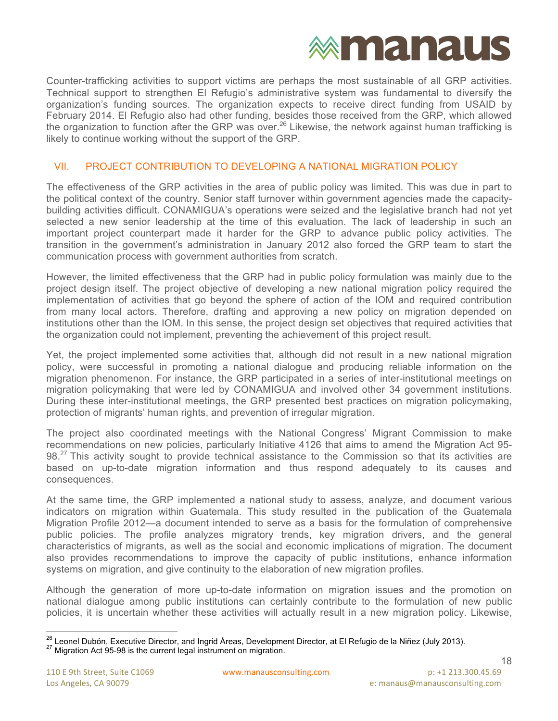

Counter-trafficking activities to support victims are perhaps the most sustainable of all GRP activities. Technical support to strengthen El Refugio's administrative system was fundamental to diversify the organization's funding sources. The organization expects to receive direct funding from USAID by February 2014. El Refugio also had other funding, besides those received from the GRP, which allowed the organization to function after the GRP was over.<sup>26</sup> Likewise, the network against human trafficking is likely to continue working without the support of the GRP.

#### VII. PROJECT CONTRIBUTION TO DEVELOPING A NATIONAL MIGRATION POLICY

The effectiveness of the GRP activities in the area of public policy was limited. This was due in part to the political context of the country. Senior staff turnover within government agencies made the capacitybuilding activities difficult. CONAMIGUA's operations were seized and the legislative branch had not yet selected a new senior leadership at the time of this evaluation. The lack of leadership in such an important project counterpart made it harder for the GRP to advance public policy activities. The transition in the government's administration in January 2012 also forced the GRP team to start the communication process with government authorities from scratch.

However, the limited effectiveness that the GRP had in public policy formulation was mainly due to the project design itself. The project objective of developing a new national migration policy required the implementation of activities that go beyond the sphere of action of the IOM and required contribution from many local actors. Therefore, drafting and approving a new policy on migration depended on institutions other than the IOM. In this sense, the project design set objectives that required activities that the organization could not implement, preventing the achievement of this project result.

Yet, the project implemented some activities that, although did not result in a new national migration policy, were successful in promoting a national dialogue and producing reliable information on the migration phenomenon. For instance, the GRP participated in a series of inter-institutional meetings on migration policymaking that were led by CONAMIGUA and involved other 34 government institutions. During these inter-institutional meetings, the GRP presented best practices on migration policymaking, protection of migrants' human rights, and prevention of irregular migration.

The project also coordinated meetings with the National Congress' Migrant Commission to make recommendations on new policies, particularly Initiative 4126 that aims to amend the Migration Act 95- 98.<sup>27</sup> This activity sought to provide technical assistance to the Commission so that its activities are based on up-to-date migration information and thus respond adequately to its causes and consequences.

At the same time, the GRP implemented a national study to assess, analyze, and document various indicators on migration within Guatemala. This study resulted in the publication of the Guatemala Migration Profile 2012—a document intended to serve as a basis for the formulation of comprehensive public policies. The profile analyzes migratory trends, key migration drivers, and the general characteristics of migrants, as well as the social and economic implications of migration. The document also provides recommendations to improve the capacity of public institutions, enhance information systems on migration, and give continuity to the elaboration of new migration profiles.

Although the generation of more up-to-date information on migration issues and the promotion on national dialogue among public institutions can certainly contribute to the formulation of new public policies, it is uncertain whether these activities will actually result in a new migration policy. Likewise,

<sup>&</sup>lt;sup>26</sup> Leonel Dubón, Executive Director, and Ingrid Áreas, Development Director, at El Refugio de la Niñez (July 2013).<br><sup>27</sup> Migration Act 95-98 is the current legal instrument on migration.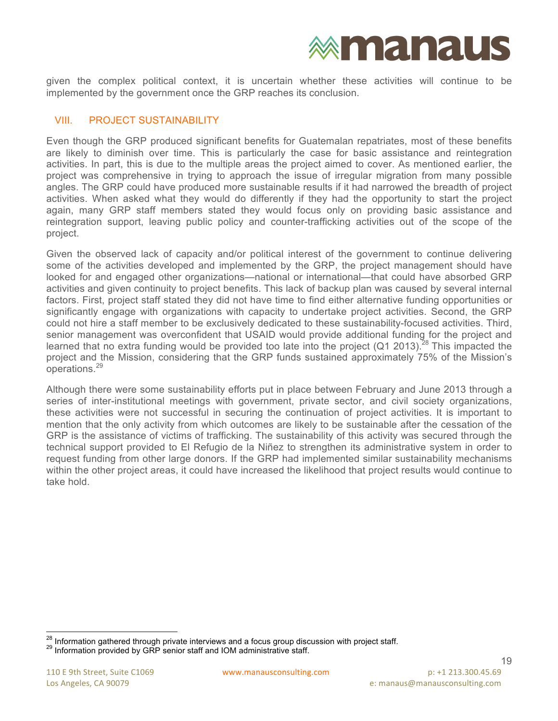

given the complex political context, it is uncertain whether these activities will continue to be implemented by the government once the GRP reaches its conclusion.

#### VIII. PROJECT SUSTAINABILITY

Even though the GRP produced significant benefits for Guatemalan repatriates, most of these benefits are likely to diminish over time. This is particularly the case for basic assistance and reintegration activities. In part, this is due to the multiple areas the project aimed to cover. As mentioned earlier, the project was comprehensive in trying to approach the issue of irregular migration from many possible angles. The GRP could have produced more sustainable results if it had narrowed the breadth of project activities. When asked what they would do differently if they had the opportunity to start the project again, many GRP staff members stated they would focus only on providing basic assistance and reintegration support, leaving public policy and counter-trafficking activities out of the scope of the project.

Given the observed lack of capacity and/or political interest of the government to continue delivering some of the activities developed and implemented by the GRP, the project management should have looked for and engaged other organizations—national or international—that could have absorbed GRP activities and given continuity to project benefits. This lack of backup plan was caused by several internal factors. First, project staff stated they did not have time to find either alternative funding opportunities or significantly engage with organizations with capacity to undertake project activities. Second, the GRP could not hire a staff member to be exclusively dedicated to these sustainability-focused activities. Third, senior management was overconfident that USAID would provide additional funding for the project and learned that no extra funding would be provided too late into the project (Q1 2013).<sup>28</sup> This impacted the project and the Mission, considering that the GRP funds sustained approximately 75% of the Mission's operations.<sup>29</sup>

Although there were some sustainability efforts put in place between February and June 2013 through a series of inter-institutional meetings with government, private sector, and civil society organizations, these activities were not successful in securing the continuation of project activities. It is important to mention that the only activity from which outcomes are likely to be sustainable after the cessation of the GRP is the assistance of victims of trafficking. The sustainability of this activity was secured through the technical support provided to El Refugio de la Niñez to strengthen its administrative system in order to request funding from other large donors. If the GRP had implemented similar sustainability mechanisms within the other project areas, it could have increased the likelihood that project results would continue to take hold.

 $^{28}$  Information gathered through private interviews and a focus group discussion with project staff.<br><sup>29</sup> Information provided by GRP senior staff and IOM administrative staff.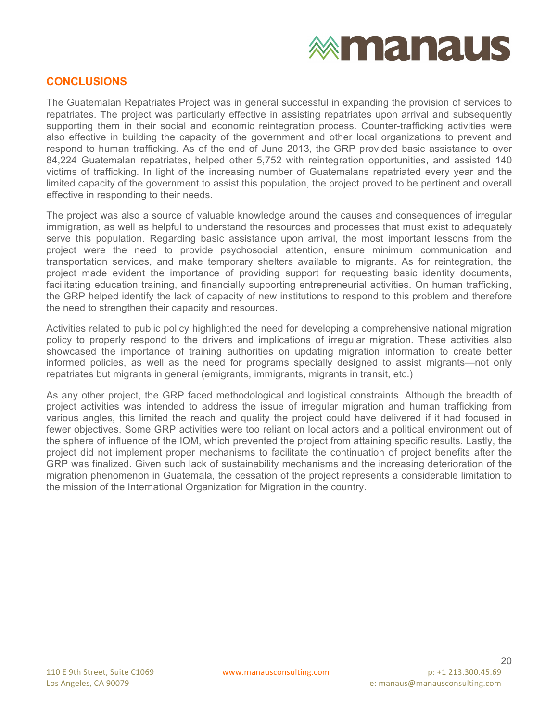#### **CONCLUSIONS**

The Guatemalan Repatriates Project was in general successful in expanding the provision of services to repatriates. The project was particularly effective in assisting repatriates upon arrival and subsequently supporting them in their social and economic reintegration process. Counter-trafficking activities were also effective in building the capacity of the government and other local organizations to prevent and respond to human trafficking. As of the end of June 2013, the GRP provided basic assistance to over 84,224 Guatemalan repatriates, helped other 5,752 with reintegration opportunities, and assisted 140 victims of trafficking. In light of the increasing number of Guatemalans repatriated every year and the limited capacity of the government to assist this population, the project proved to be pertinent and overall effective in responding to their needs.

The project was also a source of valuable knowledge around the causes and consequences of irregular immigration, as well as helpful to understand the resources and processes that must exist to adequately serve this population. Regarding basic assistance upon arrival, the most important lessons from the project were the need to provide psychosocial attention, ensure minimum communication and transportation services, and make temporary shelters available to migrants. As for reintegration, the project made evident the importance of providing support for requesting basic identity documents, facilitating education training, and financially supporting entrepreneurial activities. On human trafficking, the GRP helped identify the lack of capacity of new institutions to respond to this problem and therefore the need to strengthen their capacity and resources.

Activities related to public policy highlighted the need for developing a comprehensive national migration policy to properly respond to the drivers and implications of irregular migration. These activities also showcased the importance of training authorities on updating migration information to create better informed policies, as well as the need for programs specially designed to assist migrants—not only repatriates but migrants in general (emigrants, immigrants, migrants in transit, etc.)

As any other project, the GRP faced methodological and logistical constraints. Although the breadth of project activities was intended to address the issue of irregular migration and human trafficking from various angles, this limited the reach and quality the project could have delivered if it had focused in fewer objectives. Some GRP activities were too reliant on local actors and a political environment out of the sphere of influence of the IOM, which prevented the project from attaining specific results. Lastly, the project did not implement proper mechanisms to facilitate the continuation of project benefits after the GRP was finalized. Given such lack of sustainability mechanisms and the increasing deterioration of the migration phenomenon in Guatemala, the cessation of the project represents a considerable limitation to the mission of the International Organization for Migration in the country.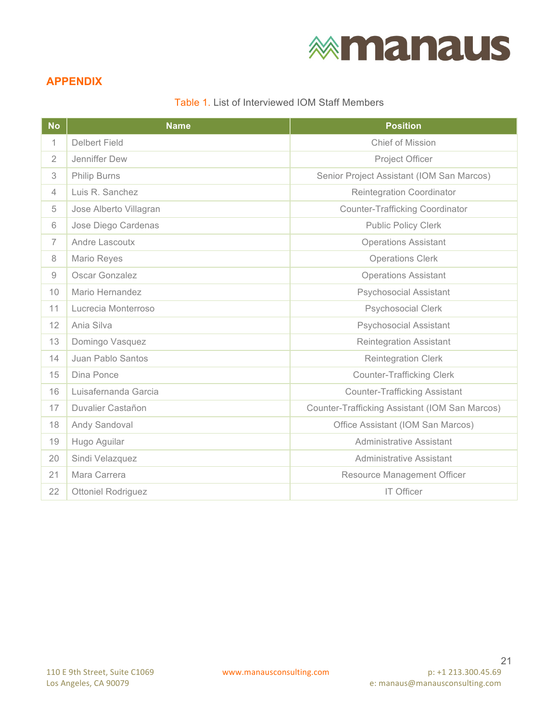### **APPENDIX**

Table 1. List of Interviewed IOM Staff Members

| <b>No</b>      | <b>Name</b>               | <b>Position</b>                                |
|----------------|---------------------------|------------------------------------------------|
| $\mathbf{1}$   | <b>Delbert Field</b>      | Chief of Mission                               |
| $\overline{2}$ | Jenniffer Dew             | Project Officer                                |
| 3              | <b>Philip Burns</b>       | Senior Project Assistant (IOM San Marcos)      |
| $\overline{4}$ | Luis R. Sanchez           | <b>Reintegration Coordinator</b>               |
| 5              | Jose Alberto Villagran    | <b>Counter-Trafficking Coordinator</b>         |
| 6              | Jose Diego Cardenas       | <b>Public Policy Clerk</b>                     |
| $\overline{7}$ | Andre Lascoutx            | <b>Operations Assistant</b>                    |
| 8              | Mario Reyes               | <b>Operations Clerk</b>                        |
| $\overline{9}$ | Oscar Gonzalez            | <b>Operations Assistant</b>                    |
| 10             | Mario Hernandez           | <b>Psychosocial Assistant</b>                  |
| 11             | Lucrecia Monterroso       | <b>Psychosocial Clerk</b>                      |
| 12             | Ania Silva                | <b>Psychosocial Assistant</b>                  |
| 13             | Domingo Vasquez           | <b>Reintegration Assistant</b>                 |
| 14             | Juan Pablo Santos         | Reintegration Clerk                            |
| 15             | Dina Ponce                | <b>Counter-Trafficking Clerk</b>               |
| 16             | Luisafernanda Garcia      | <b>Counter-Trafficking Assistant</b>           |
| 17             | Duvalier Castañon         | Counter-Trafficking Assistant (IOM San Marcos) |
| 18             | Andy Sandoval             | Office Assistant (IOM San Marcos)              |
| 19             | Hugo Aguilar              | <b>Administrative Assistant</b>                |
| 20             | Sindi Velazquez           | <b>Administrative Assistant</b>                |
| 21             | Mara Carrera              | Resource Management Officer                    |
| 22             | <b>Ottoniel Rodriguez</b> | <b>IT Officer</b>                              |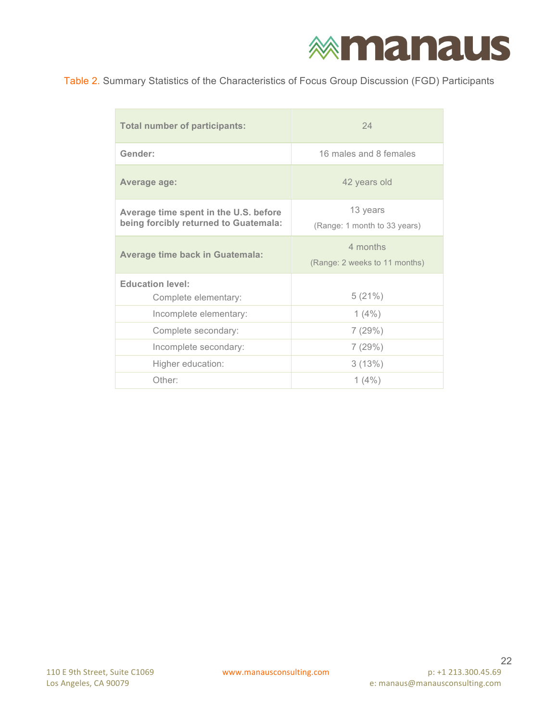### Table 2. Summary Statistics of the Characteristics of Focus Group Discussion (FGD) Participants

| <b>Total number of participants:</b>                                           | 24                                        |  |  |
|--------------------------------------------------------------------------------|-------------------------------------------|--|--|
| Gender:                                                                        | 16 males and 8 females                    |  |  |
| Average age:                                                                   | 42 years old                              |  |  |
| Average time spent in the U.S. before<br>being forcibly returned to Guatemala: | 13 years<br>(Range: 1 month to 33 years)  |  |  |
| <b>Average time back in Guatemala:</b>                                         | 4 months<br>(Range: 2 weeks to 11 months) |  |  |
| <b>Education level:</b><br>Complete elementary:                                | 5(21%)                                    |  |  |
| Incomplete elementary:                                                         | $1(4\%)$                                  |  |  |
| Complete secondary:                                                            | 7(29%)                                    |  |  |
| Incomplete secondary:                                                          | 7(29%)                                    |  |  |
| Higher education:                                                              | 3(13%)                                    |  |  |
| Other:                                                                         | $1(4\%)$                                  |  |  |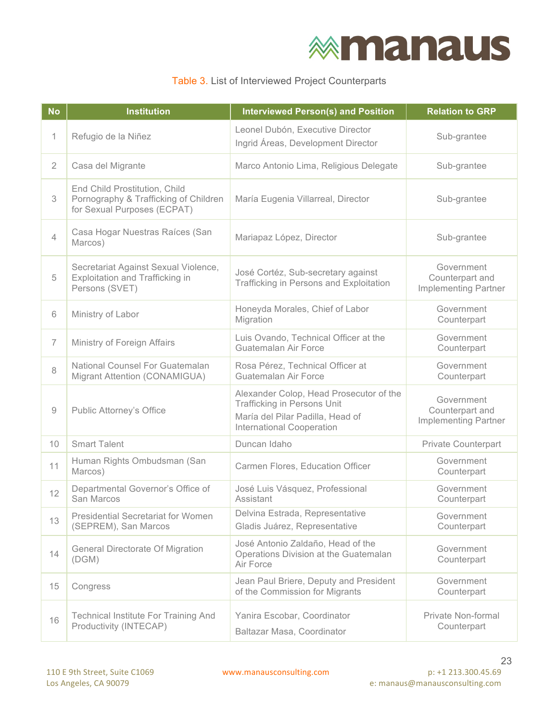### Table 3. List of Interviewed Project Counterparts

| <b>No</b>      | <b>Institution</b>                                                                                    | <b>Interviewed Person(s) and Position</b>                                                                                                             | <b>Relation to GRP</b>                                       |
|----------------|-------------------------------------------------------------------------------------------------------|-------------------------------------------------------------------------------------------------------------------------------------------------------|--------------------------------------------------------------|
| 1              | Refugio de la Niñez                                                                                   | Leonel Dubón, Executive Director<br>Ingrid Áreas, Development Director                                                                                | Sub-grantee                                                  |
| $\overline{2}$ | Casa del Migrante                                                                                     | Marco Antonio Lima, Religious Delegate                                                                                                                | Sub-grantee                                                  |
| 3              | End Child Prostitution, Child<br>Pornography & Trafficking of Children<br>for Sexual Purposes (ECPAT) | María Eugenia Villarreal, Director                                                                                                                    | Sub-grantee                                                  |
| $\overline{4}$ | Casa Hogar Nuestras Raíces (San<br>Marcos)                                                            | Mariapaz López, Director                                                                                                                              | Sub-grantee                                                  |
| 5              | Secretariat Against Sexual Violence,<br><b>Exploitation and Trafficking in</b><br>Persons (SVET)      | José Cortéz, Sub-secretary against<br>Trafficking in Persons and Exploitation                                                                         | Government<br>Counterpart and<br><b>Implementing Partner</b> |
| 6              | Ministry of Labor                                                                                     | Honeyda Morales, Chief of Labor<br>Migration                                                                                                          | Government<br>Counterpart                                    |
| 7              | Ministry of Foreign Affairs                                                                           | Luis Ovando, Technical Officer at the<br>Guatemalan Air Force                                                                                         | Government<br>Counterpart                                    |
| 8              | National Counsel For Guatemalan<br>Migrant Attention (CONAMIGUA)                                      | Rosa Pérez, Technical Officer at<br>Guatemalan Air Force                                                                                              | Government<br>Counterpart                                    |
| 9              | <b>Public Attorney's Office</b>                                                                       | Alexander Colop, Head Prosecutor of the<br><b>Trafficking in Persons Unit</b><br>María del Pilar Padilla, Head of<br><b>International Cooperation</b> | Government<br>Counterpart and<br><b>Implementing Partner</b> |
| 10             | <b>Smart Talent</b>                                                                                   | Duncan Idaho                                                                                                                                          | Private Counterpart                                          |
| 11             | Human Rights Ombudsman (San<br>Marcos)                                                                | Carmen Flores, Education Officer                                                                                                                      | Government<br>Counterpart                                    |
| 12             | Departmental Governor's Office of<br>San Marcos                                                       | José Luis Vásquez, Professional<br>Assistant                                                                                                          | Government<br>Counterpart                                    |
| 13             | <b>Presidential Secretariat for Women</b><br>(SEPREM), San Marcos                                     | Delvina Estrada, Representative<br>Gladis Juárez, Representative                                                                                      | Government<br>Counterpart                                    |
| 14             | <b>General Directorate Of Migration</b><br>(DGM)                                                      | José Antonio Zaldaño, Head of the<br>Operations Division at the Guatemalan<br>Air Force                                                               | Government<br>Counterpart                                    |
| 15             | Congress                                                                                              | Jean Paul Briere, Deputy and President<br>of the Commission for Migrants                                                                              | Government<br>Counterpart                                    |
| 16             | <b>Technical Institute For Training And</b><br>Productivity (INTECAP)                                 | Yanira Escobar, Coordinator<br>Baltazar Masa, Coordinator                                                                                             | Private Non-formal<br>Counterpart                            |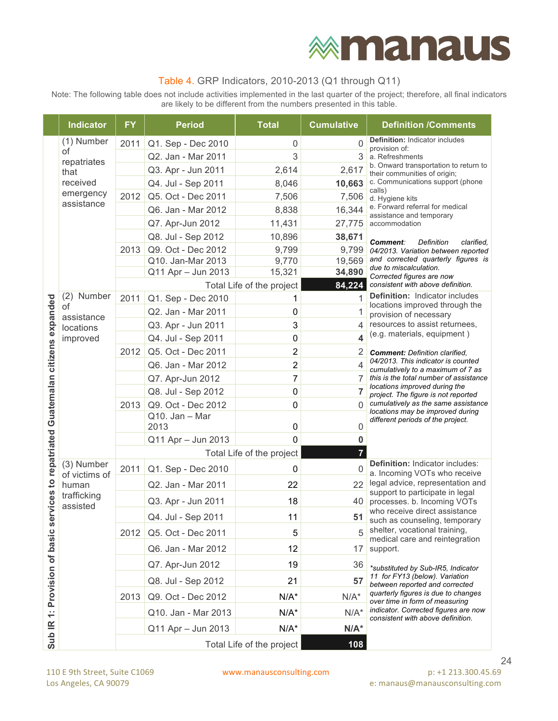### Table 4. GRP Indicators, 2010-2013 (Q1 through Q11)

Note: The following table does not include activities implemented in the last quarter of the project; therefore, all final indicators are likely to be different from the numbers presented in this table.

|                                                     | <b>Indicator</b>            | <b>FY</b> | <b>Period</b>                           | <b>Total</b>              | <b>Cumulative</b> | <b>Definition / Comments</b>                                                |  |  |
|-----------------------------------------------------|-----------------------------|-----------|-----------------------------------------|---------------------------|-------------------|-----------------------------------------------------------------------------|--|--|
|                                                     | (1) Number                  | 2011      | Q1. Sep - Dec 2010                      | 0                         | $\mathbf 0$       | <b>Definition: Indicator includes</b><br>provision of:                      |  |  |
|                                                     | of<br>repatriates           |           | Q2. Jan - Mar 2011                      | 3                         | 3                 | a. Refreshments                                                             |  |  |
|                                                     | that                        |           | Q3. Apr - Jun 2011                      | 2,614                     | 2,617             | b. Onward transportation to return to<br>their communities of origin;       |  |  |
|                                                     | received                    |           | Q4. Jul - Sep 2011                      | 8,046                     | 10,663            | c. Communications support (phone                                            |  |  |
|                                                     | emergency<br>assistance     | 2012      | Q5. Oct - Dec 2011                      | 7,506                     | 7,506             | calls)<br>d. Hygiene kits                                                   |  |  |
|                                                     |                             |           | Q6. Jan - Mar 2012                      | 8,838                     | 16,344            | e. Forward referral for medical<br>assistance and temporary                 |  |  |
|                                                     |                             |           | Q7. Apr-Jun 2012                        | 11,431                    | 27,775            | accommodation                                                               |  |  |
|                                                     |                             |           | Q8. Jul - Sep 2012                      | 10,896                    | 38,671            | <b>Comment:</b><br>Definition<br>clarified.                                 |  |  |
|                                                     |                             | 2013      | Q9. Oct - Dec 2012                      | 9,799                     | 9,799             | 04/2013. Variation between reported                                         |  |  |
|                                                     |                             |           | Q10. Jan-Mar 2013<br>Q11 Apr - Jun 2013 | 9,770<br>15,321           | 19,569<br>34,890  | and corrected quarterly figures is<br>due to miscalculation.                |  |  |
|                                                     |                             |           |                                         | Total Life of the project | 84,224            | Corrected figures are now<br>consistent with above definition.              |  |  |
|                                                     | (2) Number                  | 2011      | Q1. Sep - Dec 2010                      | 1                         | 1                 | Definition: Indicator includes                                              |  |  |
|                                                     | of                          |           | Q2. Jan - Mar 2011                      | 0                         | 1                 | locations improved through the                                              |  |  |
|                                                     | assistance                  |           | Q3. Apr - Jun 2011                      | 3                         | 4                 | provision of necessary<br>resources to assist returnees,                    |  |  |
|                                                     | locations<br>improved       |           | Q4. Jul - Sep 2011                      | 0                         | 4                 | (e.g. materials, equipment)                                                 |  |  |
|                                                     |                             | 2012      | Q5. Oct - Dec 2011                      | 2                         | 2                 | <b>Comment:</b> Definition clarified.                                       |  |  |
|                                                     |                             |           | Q6. Jan - Mar 2012                      | $\overline{c}$            | $\overline{4}$    | 04/2013. This indicator is counted                                          |  |  |
|                                                     |                             |           | Q7. Apr-Jun 2012                        | 7                         | 7                 | cumulatively to a maximum of 7 as<br>this is the total number of assistance |  |  |
|                                                     |                             |           | Q8. Jul - Sep 2012                      | 0                         | $\overline{7}$    | locations improved during the<br>project. The figure is not reported        |  |  |
|                                                     |                             | 2013      | Q9. Oct - Dec 2012                      | 0                         | 0                 | cumulatively as the same assistance                                         |  |  |
| ervices to repatriated Guatemalan citizens expanded |                             |           | Q10. Jan - Mar<br>2013                  | 0                         | 0                 | locations may be improved during<br>different periods of the project.       |  |  |
|                                                     |                             |           | Q11 Apr - Jun 2013                      | 0                         | 0                 |                                                                             |  |  |
|                                                     |                             |           |                                         | Total Life of the project | $\overline{7}$    |                                                                             |  |  |
|                                                     | (3) Number<br>of victims of | 2011      | Q1. Sep - Dec 2010                      | 0                         | $\mathbf 0$       | <b>Definition: Indicator includes:</b><br>a. Incoming VOTs who receive      |  |  |
|                                                     | human                       |           | Q2. Jan - Mar 2011                      | 22                        | 22                | legal advice, representation and                                            |  |  |
|                                                     | trafficking<br>assisted     |           | Q3. Apr - Jun 2011                      | 18                        | 40                | support to participate in legal<br>processes. b. Incoming VOTs              |  |  |
|                                                     |                             |           | Q4. Jul - Sep 2011                      | 11                        | 51                | who receive direct assistance<br>such as counseling, temporary              |  |  |
| ဖ                                                   |                             | 2012      | Q5. Oct - Dec 2011                      | 5                         | 5                 | shelter, vocational training,                                               |  |  |
|                                                     |                             |           | Q6. Jan - Mar 2012                      | 12                        | 17                | medical care and reintegration<br>support.                                  |  |  |
|                                                     |                             |           | Q7. Apr-Jun 2012                        | 19                        | 36                | *substituted by Sub-IR5, Indicator                                          |  |  |
|                                                     |                             |           | Q8. Jul - Sep 2012                      | 21                        | 57                | 11 for FY13 (below). Variation<br>between reported and corrected            |  |  |
|                                                     |                             | 2013      | Q9. Oct - Dec 2012                      | $N/A^*$                   | $N/A^*$           | quarterly figures is due to changes<br>over time in form of measuring       |  |  |
| 1: Provision of basic                               |                             |           | Q10. Jan - Mar 2013                     | $N/A^*$                   | $N/A^*$           | indicator. Corrected figures are now<br>consistent with above definition.   |  |  |
| Sub <sub>IR</sub>                                   |                             |           | Q11 Apr - Jun 2013                      | $N/A^*$                   | $N/A^*$           |                                                                             |  |  |
|                                                     |                             |           |                                         | Total Life of the project | 108               |                                                                             |  |  |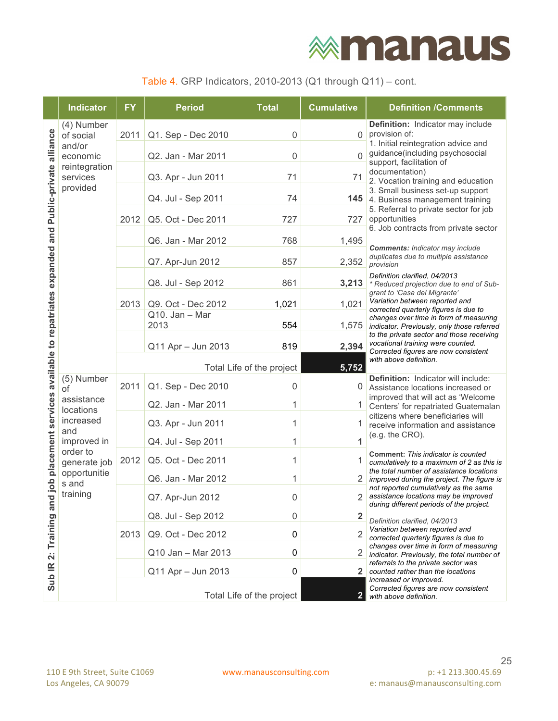# **<b>***<u>Mmanaus</u>*

| Table 4. GRP Indicators, 2010-2013 (Q1 through $Q11$ ) – cont. |  |  |  |  |  |  |
|----------------------------------------------------------------|--|--|--|--|--|--|
|----------------------------------------------------------------|--|--|--|--|--|--|

|                                                                               | <b>Indicator</b>                                                         | <b>FY</b> | <b>Period</b>          | <b>Total</b>              | <b>Cumulative</b>       | <b>Definition /Comments</b>                                                                                            |
|-------------------------------------------------------------------------------|--------------------------------------------------------------------------|-----------|------------------------|---------------------------|-------------------------|------------------------------------------------------------------------------------------------------------------------|
|                                                                               | (4) Number<br>of social                                                  | 2011      | Q1. Sep - Dec 2010     | $\mathbf 0$               | 0                       | Definition: Indicator may include<br>provision of:                                                                     |
| alliance                                                                      | and/or                                                                   |           |                        |                           |                         | 1. Initial reintegration advice and                                                                                    |
|                                                                               | economic<br>reintegration                                                |           | Q2. Jan - Mar 2011     | $\mathbf 0$               | $\overline{0}$          | guidance(including psychosocial<br>support, facilitation of                                                            |
|                                                                               | services                                                                 |           | Q3. Apr - Jun 2011     | 71                        | 71                      | documentation)<br>2. Vocation training and education                                                                   |
|                                                                               | provided                                                                 |           | Q4. Jul - Sep 2011     | 74                        | 145                     | 3. Small business set-up support<br>4. Business management training                                                    |
|                                                                               |                                                                          | 2012      | Q5. Oct - Dec 2011     | 727                       | 727                     | 5. Referral to private sector for job<br>opportunities                                                                 |
|                                                                               |                                                                          |           | Q6. Jan - Mar 2012     | 768                       | 1,495                   | 6. Job contracts from private sector                                                                                   |
|                                                                               |                                                                          |           | Q7. Apr-Jun 2012       | 857                       | 2,352                   | <b>Comments: Indicator may include</b><br>duplicates due to multiple assistance<br>provision                           |
| d job placement services available to repatriates expanded and Public-private |                                                                          |           | Q8. Jul - Sep 2012     | 861                       | 3,213                   | Definition clarified, 04/2013<br>* Reduced projection due to end of Sub-                                               |
|                                                                               |                                                                          | 2013      | Q9. Oct - Dec 2012     | 1,021                     | 1,021                   | grant to 'Casa del Migrante'<br>Variation between reported and<br>corrected quarterly figures is due to                |
|                                                                               |                                                                          |           | Q10. Jan - Mar<br>2013 | 554                       | 1,575                   | changes over time in form of measuring<br>indicator. Previously, only those referred                                   |
|                                                                               |                                                                          |           | Q11 Apr - Jun 2013     | 819                       | 2,394                   | to the private sector and those receiving<br>vocational training were counted.<br>Corrected figures are now consistent |
|                                                                               |                                                                          |           |                        | Total Life of the project | 5,752                   | with above definition.                                                                                                 |
|                                                                               | (5) Number<br>of                                                         | 2011      | Q1. Sep - Dec 2010     | 0                         | 0                       | Definition: Indicator will include:<br>Assistance locations increased or                                               |
|                                                                               | assistance                                                               |           | Q2. Jan - Mar 2011     | 1                         |                         | improved that will act as 'Welcome<br>Centers' for repatriated Guatemalan                                              |
|                                                                               | locations<br>increased<br>and<br>improved in<br>order to<br>generate job |           | Q3. Apr - Jun 2011     | 1                         |                         | citizens where beneficiaries will<br>receive information and assistance                                                |
|                                                                               |                                                                          |           | Q4. Jul - Sep 2011     | 1                         | 1                       | (e.g. the CRO).                                                                                                        |
|                                                                               |                                                                          | 2012      | Q5. Oct - Dec 2011     | 1                         |                         | Comment: This indicator is counted<br>cumulatively to a maximum of 2 as this is                                        |
|                                                                               | opportunitie                                                             |           | Q6. Jan - Mar 2012     | 1                         |                         | the total number of assistance locations<br>improved during the project. The figure is                                 |
|                                                                               | s and<br>training                                                        |           | Q7. Apr-Jun 2012       | $\mathsf{O}\xspace$       | $\overline{2}$          | not reported cumulatively as the same<br>assistance locations may be improved                                          |
| 9Ľ                                                                            |                                                                          |           | Q8. Jul - Sep 2012     | 0                         | $\overline{\mathbf{2}}$ | during different periods of the project.<br>Definition clarified, 04/2013                                              |
| Training                                                                      |                                                                          | 2013      | Q9. Oct - Dec 2012     | 0                         | $\overline{2}$          | Variation between reported and<br>corrected quarterly figures is due to                                                |
| $\ddot{\mathbf{a}}$                                                           |                                                                          |           | Q10 Jan - Mar 2013     | 0                         |                         | changes over time in form of measuring<br>indicator. Previously, the total number of                                   |
| $\mathbf{R}$                                                                  |                                                                          |           | Q11 Apr - Jun 2013     | 0                         | $\mathbf{2}$ .          | referrals to the private sector was<br>counted rather than the locations                                               |
| Sub                                                                           |                                                                          |           |                        | Total Life of the project | 2 <sub>1</sub>          | increased or improved.<br>Corrected figures are now consistent<br>with above definition.                               |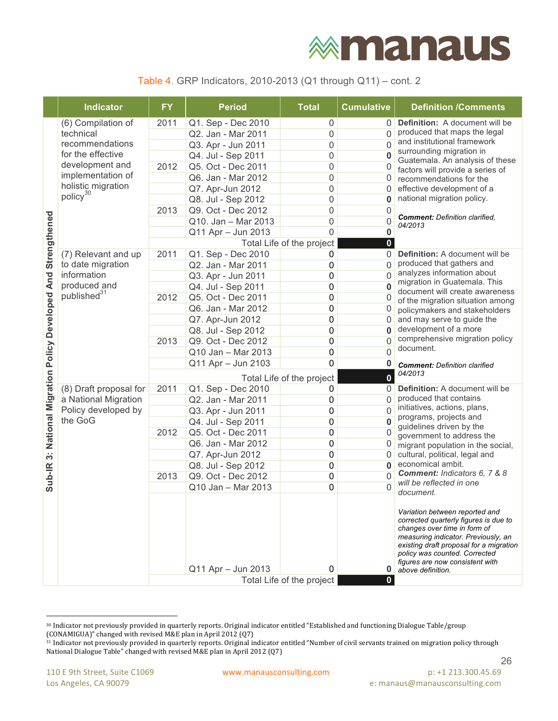#### Table 4. GRP Indicators, 2010-2013 (Q1 through Q11) – cont. 2

|                                            | <b>Indicator</b>        | <b>FY</b> | <b>Period</b>             | <b>Total</b>              | <b>Cumulative</b>    | <b>Definition /Comments</b>                                                                                                                                                                                                                                                        |
|--------------------------------------------|-------------------------|-----------|---------------------------|---------------------------|----------------------|------------------------------------------------------------------------------------------------------------------------------------------------------------------------------------------------------------------------------------------------------------------------------------|
|                                            | (6) Compilation of      | 2011      | Q1. Sep - Dec 2010        | 0                         | $\Omega$             | Definition: A document will be                                                                                                                                                                                                                                                     |
|                                            | technical               |           | Q2. Jan - Mar 2011        | 0                         | $\overline{0}$       | produced that maps the legal                                                                                                                                                                                                                                                       |
|                                            | recommendations         |           | Q3. Apr - Jun 2011        | 0                         | 0                    | and institutional framework                                                                                                                                                                                                                                                        |
|                                            | for the effective       |           | Q4. Jul - Sep 2011        | 0                         | 0                    | surrounding migration in<br>Guatemala. An analysis of these                                                                                                                                                                                                                        |
|                                            | development and         | 2012      | Q5. Oct - Dec 2011        | 0                         | 0                    | factors will provide a series of                                                                                                                                                                                                                                                   |
|                                            | implementation of       |           | Q6. Jan - Mar 2012        | 0                         | 0                    | recommendations for the                                                                                                                                                                                                                                                            |
|                                            | holistic migration      |           | Q7. Apr-Jun 2012          | 0                         | 0                    | effective development of a                                                                                                                                                                                                                                                         |
|                                            | policy <sup>30</sup>    |           | Q8. Jul - Sep 2012        | 0                         | 0                    | national migration policy.                                                                                                                                                                                                                                                         |
|                                            |                         | 2013      | Q9. Oct - Dec 2012        | 0                         | 0                    | <b>Comment:</b> Definition clarified.                                                                                                                                                                                                                                              |
|                                            |                         |           | Q10. Jan - Mar 2013       | 0                         | 0                    | 04/2013                                                                                                                                                                                                                                                                            |
|                                            |                         |           | Q11 Apr - Jun 2013        | 0                         | 0                    |                                                                                                                                                                                                                                                                                    |
| Strengthened                               |                         |           |                           | Total Life of the project | $\mathbf{0}$         |                                                                                                                                                                                                                                                                                    |
|                                            | (7) Relevant and up     | 2011      | Q1. Sep - Dec 2010        | 0                         | $\mathbf{0}$         | Definition: A document will be                                                                                                                                                                                                                                                     |
|                                            | to date migration       |           | Q2. Jan - Mar 2011        | 0                         | $\Omega$             | produced that gathers and                                                                                                                                                                                                                                                          |
|                                            | information             |           | Q3. Apr - Jun 2011        | 0                         | $\Omega$             | analyzes information about<br>migration in Guatemala. This                                                                                                                                                                                                                         |
|                                            | produced and            |           | Q4. Jul - Sep 2011        | 0                         | 0                    | document will create awareness                                                                                                                                                                                                                                                     |
|                                            | published <sup>31</sup> | 2012      | Q5. Oct - Dec 2011        | 0                         | 0                    | of the migration situation among                                                                                                                                                                                                                                                   |
|                                            |                         |           | Q6. Jan - Mar 2012        | 0                         | 0                    | policymakers and stakeholders                                                                                                                                                                                                                                                      |
|                                            |                         |           | Q7. Apr-Jun 2012          | 0                         | 0                    | and may serve to guide the                                                                                                                                                                                                                                                         |
|                                            |                         |           | Q8. Jul - Sep 2012        | 0                         | $\bf{0}$             | development of a more<br>comprehensive migration policy                                                                                                                                                                                                                            |
|                                            |                         | 2013      | Q9. Oct - Dec 2012        | 0                         | $\Omega$             | document.                                                                                                                                                                                                                                                                          |
|                                            |                         |           | Q10 Jan - Mar 2013        | 0                         | $\mathbf{0}$         |                                                                                                                                                                                                                                                                                    |
|                                            |                         |           | Q11 Apr - Jun 2103        | 0                         | 0                    | <b>Comment:</b> Definition clarified<br>04/2013                                                                                                                                                                                                                                    |
| 3: National Migration Policy Developed And |                         |           | Total Life of the project |                           |                      |                                                                                                                                                                                                                                                                                    |
|                                            | (8) Draft proposal for  | 2011      | Q1. Sep - Dec 2010        | 0                         | 0                    | <b>Definition:</b> A document will be<br>produced that contains                                                                                                                                                                                                                    |
|                                            | a National Migration    |           | Q2. Jan - Mar 2011        | 0                         | $\overline{0}$       | initiatives, actions, plans,                                                                                                                                                                                                                                                       |
|                                            | Policy developed by     |           | Q3. Apr - Jun 2011        | 0                         | $\overline{0}$       | programs, projects and                                                                                                                                                                                                                                                             |
|                                            | the GoG                 |           | Q4. Jul - Sep 2011        | 0                         | $\mathbf{0}$         | guidelines driven by the                                                                                                                                                                                                                                                           |
|                                            |                         | 2012      | Q5. Oct - Dec 2011        | 0                         | 0                    | government to address the                                                                                                                                                                                                                                                          |
|                                            |                         |           | Q6. Jan - Mar 2012        | 0                         | 0                    | migrant population in the social,                                                                                                                                                                                                                                                  |
|                                            |                         |           | Q7. Apr-Jun 2012          | 0                         | 0                    | cultural, political, legal and<br>economical ambit.                                                                                                                                                                                                                                |
|                                            |                         |           | Q8. Jul - Sep 2012        | 0                         | $\bf{0}$<br>$\Omega$ | Comment: Indicators 6, 7 & 8                                                                                                                                                                                                                                                       |
| Sub-IR                                     |                         | 2013      | Q9. Oct - Dec 2012        | 0                         | $\Omega$             | will be reflected in one                                                                                                                                                                                                                                                           |
|                                            |                         |           | Q10 Jan - Mar 2013        | 0                         |                      | document.                                                                                                                                                                                                                                                                          |
|                                            |                         |           | Q11 Apr - Jun 2013        | 0                         | $\bf{0}$             | Variation between reported and<br>corrected quarterly figures is due to<br>changes over time in form of<br>measuring indicator. Previously, an<br>existing draft proposal for a migration<br>policy was counted. Corrected<br>figures are now consistent with<br>above definition. |
|                                            |                         |           |                           | Total Life of the project | $\mathbf{0}$         |                                                                                                                                                                                                                                                                                    |

<sup>30</sup> Indicator not previously provided in quarterly reports. Original indicator entitled "Established and functioning Dialogue Table/group (CONAMIGUA)" changed with revised M&E plan in April 2012 (Q7)

 

<sup>31</sup> Indicator not previously provided in quarterly reports. Original indicator entitled "Number of civil servants trained on migration policy through National Dialogue Table" changed with revised M&E plan in April 2012 (Q7)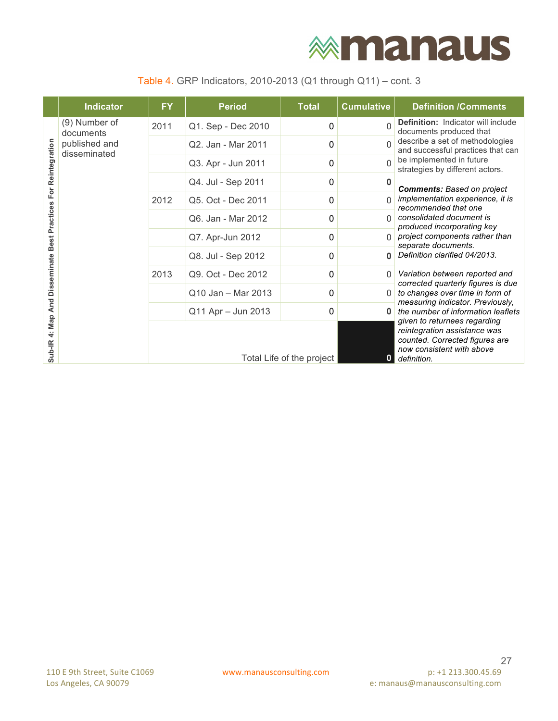#### Table 4. GRP Indicators, 2010-2013 (Q1 through Q11) – cont. 3

|                       | <b>Indicator</b>              | <b>FY</b>                 | <b>Period</b>      | <b>Total</b> | <b>Cumulative</b> | <b>Definition /Comments</b>                                                                                |
|-----------------------|-------------------------------|---------------------------|--------------------|--------------|-------------------|------------------------------------------------------------------------------------------------------------|
| For Reintegration     | (9) Number of<br>documents    | 2011                      | Q1. Sep - Dec 2010 | 0            | $\Omega$          | <b>Definition:</b> Indicator will include<br>documents produced that                                       |
|                       | published and<br>disseminated |                           | Q2. Jan - Mar 2011 | 0            | $\Omega$          | describe a set of methodologies<br>and successful practices that can                                       |
|                       |                               |                           | Q3. Apr - Jun 2011 | 0            | $\Omega$          | be implemented in future<br>strategies by different actors.                                                |
|                       |                               |                           | Q4. Jul - Sep 2011 | 0            | 0                 | <b>Comments: Based on project</b>                                                                          |
|                       |                               | 2012                      | Q5. Oct - Dec 2011 | 0            |                   | implementation experience, it is<br>recommended that one                                                   |
| <b>Best Practices</b> |                               |                           | Q6. Jan - Mar 2012 | 0            | U                 | consolidated document is<br>produced incorporating key                                                     |
|                       |                               |                           | Q7. Apr-Jun 2012   | 0            | U                 | project components rather than<br>separate documents.                                                      |
|                       |                               |                           | Q8. Jul - Sep 2012 | 0            | Û                 | Definition clarified 04/2013.                                                                              |
| <b>Disseminate</b>    |                               | 2013                      | Q9. Oct - Dec 2012 | 0            | $\Omega$          | Variation between reported and<br>corrected quarterly figures is due                                       |
| 4: Map And            |                               |                           | Q10 Jan - Mar 2013 | 0            |                   | to changes over time in form of<br>measuring indicator. Previously,                                        |
|                       |                               |                           | Q11 Apr - Jun 2013 | 0            |                   | the number of information leaflets<br>given to returnees regarding                                         |
| Sub-IR                |                               | Total Life of the project |                    |              |                   | reintegration assistance was<br>counted. Corrected figures are<br>now consistent with above<br>definition. |